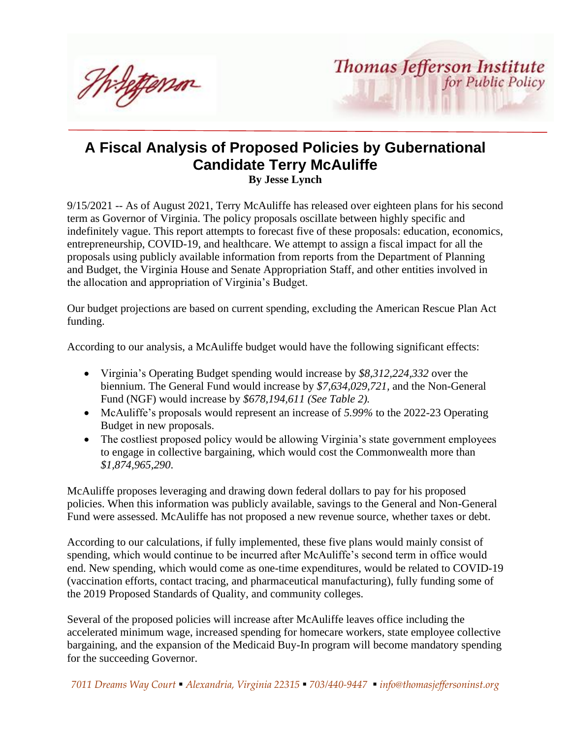Wiletterson

# **A Fiscal Analysis of Proposed Policies by Gubernational Candidate Terry McAuliffe**

**By Jesse Lynch**

9/15/2021 -- As of August 2021, Terry McAuliffe has released over eighteen plans for his second term as Governor of Virginia. The policy proposals oscillate between highly specific and indefinitely vague. This report attempts to forecast five of these proposals: education, economics, entrepreneurship, COVID-19, and healthcare. We attempt to assign a fiscal impact for all the proposals using publicly available information from reports from the Department of Planning and Budget, the Virginia House and Senate Appropriation Staff, and other entities involved in the allocation and appropriation of Virginia's Budget.

Our budget projections are based on current spending, excluding the American Rescue Plan Act funding.

According to our analysis, a McAuliffe budget would have the following significant effects:

- Virginia's Operating Budget spending would increase by *\$8,312,224,332* over the biennium. The General Fund would increase by *\$7,634,029,721,* and the Non-General Fund (NGF) would increase by *\$678,194,611 (See Table 2).*
- McAuliffe's proposals would represent an increase of *5.99%* to the 2022-23 Operating Budget in new proposals.
- The costliest proposed policy would be allowing Virginia's state government employees to engage in collective bargaining, which would cost the Commonwealth more than *\$1,874,965,290*.

McAuliffe proposes leveraging and drawing down federal dollars to pay for his proposed policies. When this information was publicly available, savings to the General and Non-General Fund were assessed. McAuliffe has not proposed a new revenue source, whether taxes or debt.

According to our calculations, if fully implemented, these five plans would mainly consist of spending, which would continue to be incurred after McAuliffe's second term in office would end. New spending, which would come as one-time expenditures, would be related to COVID-19 (vaccination efforts, contact tracing, and pharmaceutical manufacturing), fully funding some of the 2019 Proposed Standards of Quality, and community colleges.

Several of the proposed policies will increase after McAuliffe leaves office including the accelerated minimum wage, increased spending for homecare workers, state employee collective bargaining, and the expansion of the Medicaid Buy-In program will become mandatory spending for the succeeding Governor.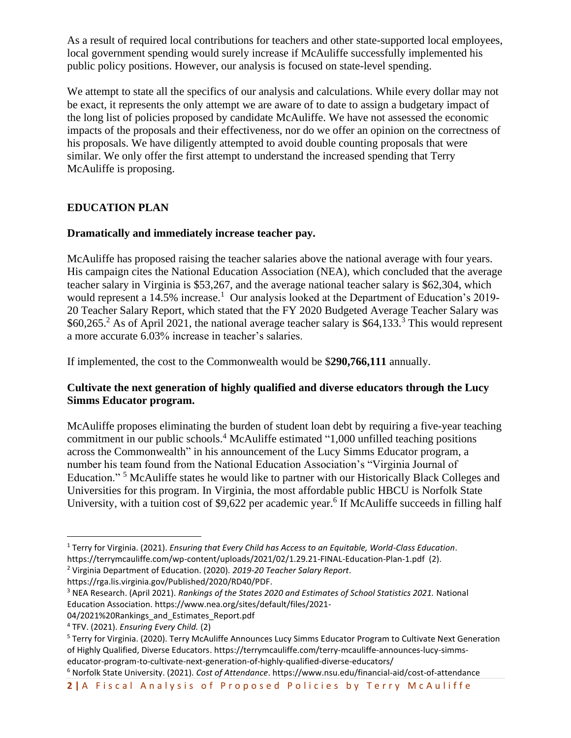As a result of required local contributions for teachers and other state-supported local employees, local government spending would surely increase if McAuliffe successfully implemented his public policy positions. However, our analysis is focused on state-level spending.

We attempt to state all the specifics of our analysis and calculations. While every dollar may not be exact, it represents the only attempt we are aware of to date to assign a budgetary impact of the long list of policies proposed by candidate McAuliffe. We have not assessed the economic impacts of the proposals and their effectiveness, nor do we offer an opinion on the correctness of his proposals. We have diligently attempted to avoid double counting proposals that were similar. We only offer the first attempt to understand the increased spending that Terry McAuliffe is proposing.

# **EDUCATION PLAN**

## **Dramatically and immediately increase teacher pay.**

McAuliffe has proposed raising the teacher salaries above the national average with four years. His campaign cites the National Education Association (NEA), which concluded that the average teacher salary in Virginia is \$53,267, and the average national teacher salary is \$62,304, which would represent a  $14.5\%$  increase.<sup>1</sup> Our analysis looked at the Department of Education's 2019-20 Teacher Salary Report, which stated that the FY 2020 Budgeted Average Teacher Salary was  $$60,265<sup>2</sup>$  As of April 2021, the national average teacher salary is \$64,133.<sup>3</sup> This would represent a more accurate 6.03% increase in teacher's salaries.

If implemented, the cost to the Commonwealth would be \$**290,766,111** annually.

## **Cultivate the next generation of highly qualified and diverse educators through the Lucy Simms Educator program.**

McAuliffe proposes eliminating the burden of student loan debt by requiring a five-year teaching commitment in our public schools.<sup>4</sup> McAuliffe estimated "1,000 unfilled teaching positions across the Commonwealth" in his announcement of the Lucy Simms Educator program, a number his team found from the National Education Association's "Virginia Journal of Education." <sup>5</sup> McAuliffe states he would like to partner with our Historically Black Colleges and Universities for this program. In Virginia, the most affordable public HBCU is Norfolk State University, with a tuition cost of \$9,622 per academic year.<sup>6</sup> If McAuliffe succeeds in filling half

<sup>1</sup> Terry for Virginia. (2021). *Ensuring that Every Child has Access to an Equitable, World-Class Education*. https://terrymcauliffe.com/wp-content/uploads/2021/02/1.29.21-FINAL-Education-Plan-1.pdf (2). <sup>2</sup> Virginia Department of Education. (2020). *2019-20 Teacher Salary Report*.

https://rga.lis.virginia.gov/Published/2020/RD40/PDF.

<sup>3</sup> NEA Research. (April 2021). *Rankings of the States 2020 and Estimates of School Statistics 2021.* National Education Association. https://www.nea.org/sites/default/files/2021-

<sup>04/2021%20</sup>Rankings\_and\_Estimates\_Report.pdf

<sup>4</sup> TFV. (2021). *Ensuring Every Child.* (2)

<sup>5</sup> Terry for Virginia. (2020). Terry McAuliffe Announces Lucy Simms Educator Program to Cultivate Next Generation of Highly Qualified, Diverse Educators. https://terrymcauliffe.com/terry-mcauliffe-announces-lucy-simmseducator-program-to-cultivate-next-generation-of-highly-qualified-diverse-educators/

<sup>6</sup> Norfolk State University. (2021). *Cost of Attendance*. https://www.nsu.edu/financial-aid/cost-of-attendance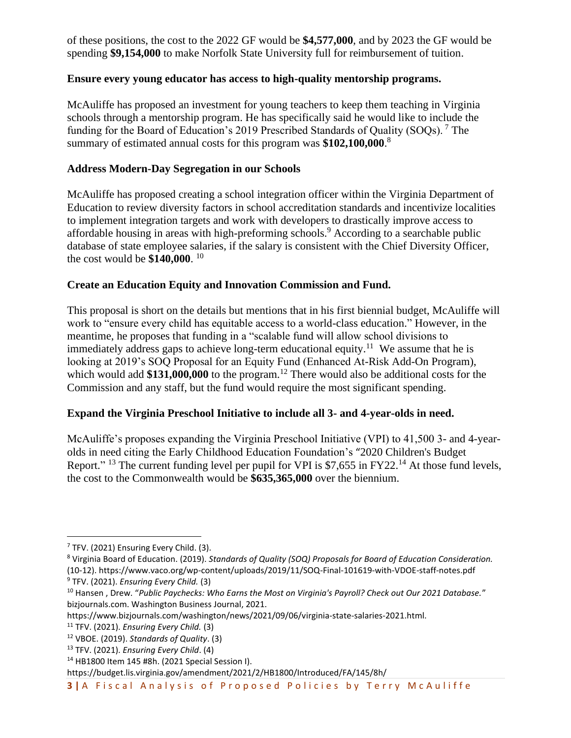of these positions, the cost to the 2022 GF would be **\$4,577,000**, and by 2023 the GF would be spending **\$9,154,000** to make Norfolk State University full for reimbursement of tuition.

#### **Ensure every young educator has access to high-quality mentorship programs.**

McAuliffe has proposed an investment for young teachers to keep them teaching in Virginia schools through a mentorship program. He has specifically said he would like to include the funding for the Board of Education's 2019 Prescribed Standards of Quality (SOQs). <sup>7</sup> The summary of estimated annual costs for this program was **\$102,100,000**. 8

#### **Address Modern-Day Segregation in our Schools**

McAuliffe has proposed creating a school integration officer within the Virginia Department of Education to review diversity factors in school accreditation standards and incentivize localities to implement integration targets and work with developers to drastically improve access to affordable housing in areas with high-preforming schools.<sup>9</sup> According to a searchable public database of state employee salaries, if the salary is consistent with the Chief Diversity Officer, the cost would be **\$140,000**. 10

#### **Create an Education Equity and Innovation Commission and Fund.**

This proposal is short on the details but mentions that in his first biennial budget, McAuliffe will work to "ensure every child has equitable access to a world-class education." However, in the meantime, he proposes that funding in a "scalable fund will allow school divisions to immediately address gaps to achieve long-term educational equity.<sup>11</sup> We assume that he is looking at 2019's SOQ Proposal for an Equity Fund (Enhanced At-Risk Add-On Program), which would add \$131,000,000 to the program.<sup>12</sup> There would also be additional costs for the Commission and any staff, but the fund would require the most significant spending.

## **Expand the Virginia Preschool Initiative to include all 3- and 4-year-olds in need.**

McAuliffe's proposes expanding the Virginia Preschool Initiative (VPI) to 41,500 3- and 4-yearolds in need citing the Early Childhood Education Foundation's "2020 Children's Budget Report." <sup>13</sup> The current funding level per pupil for VPI is \$7,655 in FY22.<sup>14</sup> At those fund levels, the cost to the Commonwealth would be **\$635,365,000** over the biennium.

<sup>14</sup> HB1800 Item 145 #8h. (2021 Special Session I).

 $7$  TFV. (2021) Ensuring Every Child. (3).

<sup>8</sup> Virginia Board of Education. (2019). *Standards of Quality (SOQ) Proposals for Board of Education Consideration.* (10-12). https://www.vaco.org/wp-content/uploads/2019/11/SOQ-Final-101619-with-VDOE-staff-notes.pdf

<sup>9</sup> TFV. (2021). *Ensuring Every Child.* (3)

<sup>10</sup> Hansen , Drew. "*Public Paychecks: Who Earns the Most on Virginia's Payroll? Check out Our 2021 Database.*" bizjournals.com. Washington Business Journal, 2021.

https://www.bizjournals.com/washington/news/2021/09/06/virginia-state-salaries-2021.html.

<sup>11</sup> TFV. (2021). *Ensuring Every Child.* (3)

<sup>12</sup> VBOE. (2019). *Standards of Quality*. (3)

<sup>13</sup> TFV. (2021). *Ensuring Every Child*. (4)

https://budget.lis.virginia.gov/amendment/2021/2/HB1800/Introduced/FA/145/8h/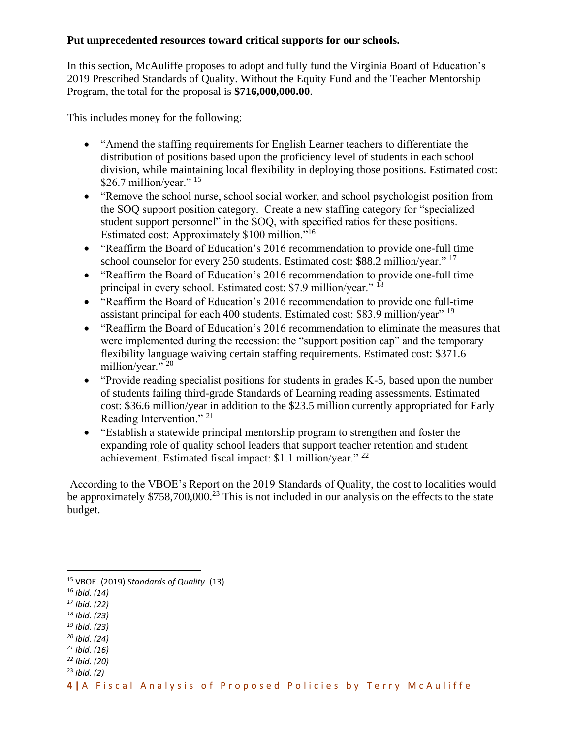#### **Put unprecedented resources toward critical supports for our schools.**

In this section, McAuliffe proposes to adopt and fully fund the Virginia Board of Education's 2019 Prescribed Standards of Quality. Without the Equity Fund and the Teacher Mentorship Program, the total for the proposal is **\$716,000,000.00**.

This includes money for the following:

- "Amend the staffing requirements for English Learner teachers to differentiate the distribution of positions based upon the proficiency level of students in each school division, while maintaining local flexibility in deploying those positions. Estimated cost: \$26.7 million/year."  $15$
- "Remove the school nurse, school social worker, and school psychologist position from the SOQ support position category. Create a new staffing category for "specialized student support personnel" in the SOQ, with specified ratios for these positions. Estimated cost: Approximately \$100 million."<sup>16</sup>
- "Reaffirm the Board of Education's 2016 recommendation to provide one-full time school counselor for every 250 students. Estimated cost: \$88.2 million/year."<sup>17</sup>
- "Reaffirm the Board of Education's 2016 recommendation to provide one-full time principal in every school. Estimated cost: \$7.9 million/year." <sup>18</sup>
- "Reaffirm the Board of Education's 2016 recommendation to provide one full-time assistant principal for each 400 students. Estimated cost: \$83.9 million/year" <sup>19</sup>
- "Reaffirm the Board of Education's 2016 recommendation to eliminate the measures that were implemented during the recession: the "support position cap" and the temporary flexibility language waiving certain staffing requirements. Estimated cost: \$371.6 million/year." <sup>20</sup>
- "Provide reading specialist positions for students in grades K-5, based upon the number of students failing third-grade Standards of Learning reading assessments. Estimated cost: \$36.6 million/year in addition to the \$23.5 million currently appropriated for Early Reading Intervention." <sup>21</sup>
- "Establish a statewide principal mentorship program to strengthen and foster the expanding role of quality school leaders that support teacher retention and student achievement. Estimated fiscal impact: \$1.1 million/year." <sup>22</sup>

According to the VBOE's Report on the 2019 Standards of Quality, the cost to localities would be approximately \$758,700,000.<sup>23</sup> This is not included in our analysis on the effects to the state budget.

- *<sup>17</sup> Ibid. (22)*
- *<sup>18</sup> Ibid. (23)*
- *<sup>19</sup> Ibid. (23)*
- *<sup>20</sup> Ibid. (24)*
- *<sup>21</sup> Ibid. (16) <sup>22</sup> Ibid. (20)*
- <sup>23</sup> *Ibid. (2)*
- **4** | A Fiscal Analysis of Proposed Policies by Terry McAuliffe

<sup>15</sup> VBOE. (2019) *Standards of Quality*. (13)

<sup>16</sup> *Ibid. (14)*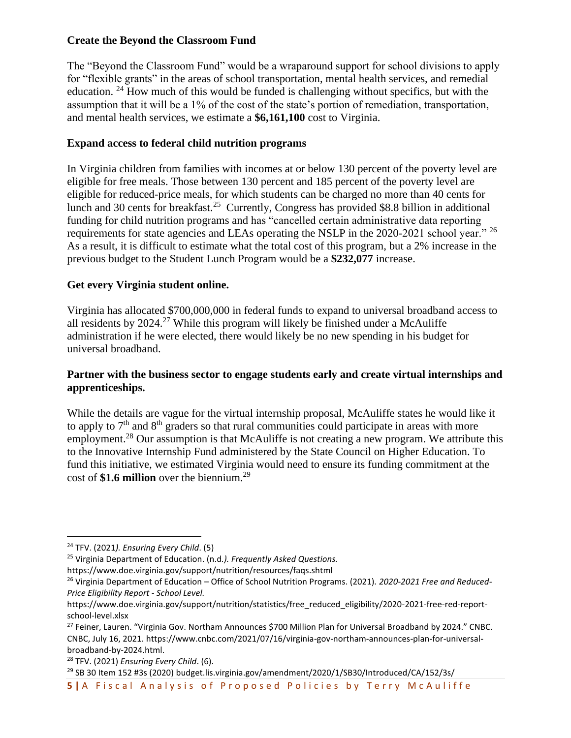#### **Create the Beyond the Classroom Fund**

The "Beyond the Classroom Fund" would be a wraparound support for school divisions to apply for "flexible grants" in the areas of school transportation, mental health services, and remedial education. <sup>24</sup> How much of this would be funded is challenging without specifics, but with the assumption that it will be a 1% of the cost of the state's portion of remediation, transportation, and mental health services, we estimate a **\$6,161,100** cost to Virginia.

#### **Expand access to federal child nutrition programs**

In Virginia children from families with incomes at or below 130 percent of the poverty level are eligible for free meals. Those between 130 percent and 185 percent of the poverty level are eligible for reduced-price meals, for which students can be charged no more than 40 cents for lunch and 30 cents for breakfast.<sup>25</sup> Currently, Congress has provided \$8.8 billion in additional funding for child nutrition programs and has "cancelled certain administrative data reporting requirements for state agencies and LEAs operating the NSLP in the 2020-2021 school year." <sup>26</sup> As a result, it is difficult to estimate what the total cost of this program, but a 2% increase in the previous budget to the Student Lunch Program would be a **\$232,077** increase.

## **Get every Virginia student online.**

Virginia has allocated \$700,000,000 in federal funds to expand to universal broadband access to all residents by  $2024<sup>27</sup>$  While this program will likely be finished under a McAuliffe administration if he were elected, there would likely be no new spending in his budget for universal broadband.

## **Partner with the business sector to engage students early and create virtual internships and apprenticeships.**

While the details are vague for the virtual internship proposal, McAuliffe states he would like it to apply to  $7<sup>th</sup>$  and  $8<sup>th</sup>$  graders so that rural communities could participate in areas with more employment.<sup>28</sup> Our assumption is that McAuliffe is not creating a new program. We attribute this to the Innovative Internship Fund administered by the State Council on Higher Education. To fund this initiative, we estimated Virginia would need to ensure its funding commitment at the cost of \$1.6 million over the biennium.<sup>29</sup>

https://www.doe.virginia.gov/support/nutrition/resources/faqs.shtml

<sup>29</sup> SB 30 Item 152 #3s (2020) budget.lis.virginia.gov/amendment/2020/1/SB30/Introduced/CA/152/3s/

<sup>24</sup> TFV. (2021*). Ensuring Every Child*. (5)

<sup>25</sup> Virginia Department of Education. (n.d*.). Frequently Asked Questions.* 

<sup>26</sup> Virginia Department of Education – Office of School Nutrition Programs. (2021). *2020-2021 Free and Reduced-Price Eligibility Report - School Level.* 

https://www.doe.virginia.gov/support/nutrition/statistics/free\_reduced\_eligibility/2020-2021-free-red-reportschool-level.xlsx

<sup>&</sup>lt;sup>27</sup> Feiner, Lauren. "Virginia Gov. Northam Announces \$700 Million Plan for Universal Broadband by 2024." CNBC. CNBC, July 16, 2021. https://www.cnbc.com/2021/07/16/virginia-gov-northam-announces-plan-for-universalbroadband-by-2024.html.

<sup>28</sup> TFV. (2021) *Ensuring Every Child*. (6).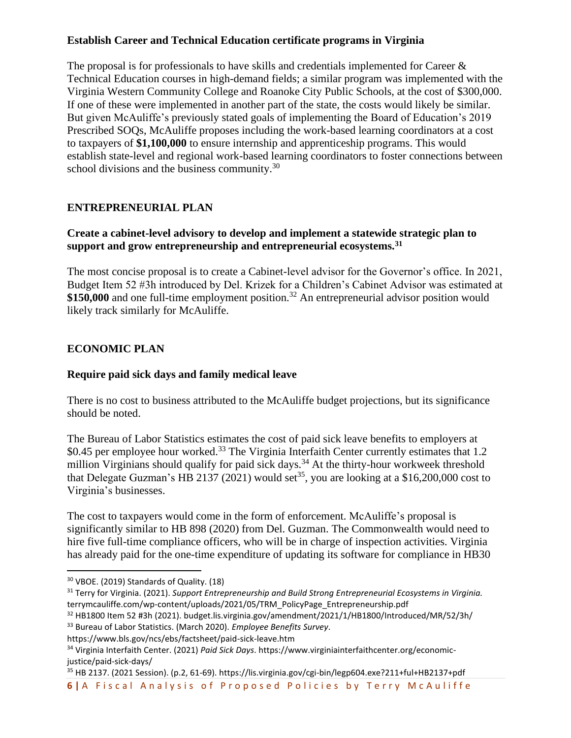# **Establish Career and Technical Education certificate programs in Virginia**

The proposal is for professionals to have skills and credentials implemented for Career & Technical Education courses in high-demand fields; a similar program was implemented with the Virginia Western Community College and Roanoke City Public Schools, at the cost of \$300,000. If one of these were implemented in another part of the state, the costs would likely be similar. But given McAuliffe's previously stated goals of implementing the Board of Education's 2019 Prescribed SOQs, McAuliffe proposes including the work-based learning coordinators at a cost to taxpayers of **\$1,100,000** to ensure internship and apprenticeship programs. This would establish state-level and regional work-based learning coordinators to foster connections between school divisions and the business community.<sup>30</sup>

# **ENTREPRENEURIAL PLAN**

# **Create a cabinet-level advisory to develop and implement a statewide strategic plan to support and grow entrepreneurship and entrepreneurial ecosystems.<sup>31</sup>**

The most concise proposal is to create a Cabinet-level advisor for the Governor's office. In 2021, Budget Item 52 #3h introduced by Del. Krizek for a Children's Cabinet Advisor was estimated at \$150,000 and one full-time employment position.<sup>32</sup> An entrepreneurial advisor position would likely track similarly for McAuliffe.

# **ECONOMIC PLAN**

# **Require paid sick days and family medical leave**

There is no cost to business attributed to the McAuliffe budget projections, but its significance should be noted.

The Bureau of Labor Statistics estimates the cost of paid sick leave benefits to employers at \$0.45 per employee hour worked.<sup>33</sup> The Virginia Interfaith Center currently estimates that 1.2 million Virginians should qualify for paid sick days.<sup>34</sup> At the thirty-hour workweek threshold that Delegate Guzman's HB 2137 (2021) would set<sup>35</sup>, you are looking at a \$16,200,000 cost to Virginia's businesses.

The cost to taxpayers would come in the form of enforcement. McAuliffe's proposal is significantly similar to HB 898 (2020) from Del. Guzman. The Commonwealth would need to hire five full-time compliance officers, who will be in charge of inspection activities. Virginia has already paid for the one-time expenditure of updating its software for compliance in HB30

https://www.bls.gov/ncs/ebs/factsheet/paid-sick-leave.htm

<sup>35</sup> HB 2137. (2021 Session). (p.2, 61-69). https://lis.virginia.gov/cgi-bin/legp604.exe?211+ful+HB2137+pdf

**6** | A Fiscal Analysis of Proposed Policies by Terry McAuliffe

<sup>30</sup> VBOE. (2019) Standards of Quality. (18)

<sup>31</sup> Terry for Virginia. (2021). *Support Entrepreneurship and Build Strong Entrepreneurial Ecosystems in Virginia.* terrymcauliffe.com/wp-content/uploads/2021/05/TRM\_PolicyPage\_Entrepreneurship.pdf

<sup>32</sup> HB1800 Item 52 #3h (2021). budget.lis.virginia.gov/amendment/2021/1/HB1800/Introduced/MR/52/3h/ <sup>33</sup> Bureau of Labor Statistics. (March 2020). *Employee Benefits Survey*.

<sup>34</sup> Virginia Interfaith Center. (2021) *Paid Sick Days*. https://www.virginiainterfaithcenter.org/economicjustice/paid-sick-days/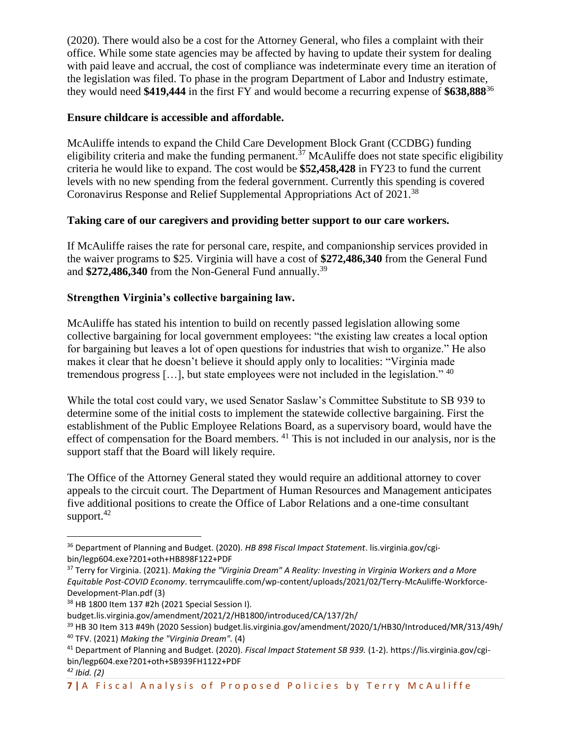(2020). There would also be a cost for the Attorney General, who files a complaint with their office. While some state agencies may be affected by having to update their system for dealing with paid leave and accrual, the cost of compliance was indeterminate every time an iteration of the legislation was filed. To phase in the program Department of Labor and Industry estimate, they would need **\$419,444** in the first FY and would become a recurring expense of **\$638,888**<sup>36</sup>

#### **Ensure childcare is accessible and affordable.**

McAuliffe intends to expand the Child Care Development Block Grant (CCDBG) funding eligibility criteria and make the funding permanent.<sup>37</sup> McAuliffe does not state specific eligibility criteria he would like to expand. The cost would be **\$52,458,428** in FY23 to fund the current levels with no new spending from the federal government. Currently this spending is covered Coronavirus Response and Relief Supplemental Appropriations Act of 2021.<sup>38</sup>

#### **Taking care of our caregivers and providing better support to our care workers.**

If McAuliffe raises the rate for personal care, respite, and companionship services provided in the waiver programs to \$25. Virginia will have a cost of **\$272,486,340** from the General Fund and **\$272,486,340** from the Non-General Fund annually.<sup>39</sup>

## **Strengthen Virginia's collective bargaining law.**

McAuliffe has stated his intention to build on recently passed legislation allowing some collective bargaining for local government employees: "the existing law creates a local option for bargaining but leaves a lot of open questions for industries that wish to organize." He also makes it clear that he doesn't believe it should apply only to localities: "Virginia made tremendous progress [...], but state employees were not included in the legislation." <sup>40</sup>

While the total cost could vary, we used Senator Saslaw's Committee Substitute to SB 939 to determine some of the initial costs to implement the statewide collective bargaining. First the establishment of the Public Employee Relations Board, as a supervisory board, would have the effect of compensation for the Board members. <sup>41</sup> This is not included in our analysis, nor is the support staff that the Board will likely require.

The Office of the Attorney General stated they would require an additional attorney to cover appeals to the circuit court. The Department of Human Resources and Management anticipates five additional positions to create the Office of Labor Relations and a one-time consultant support. $42$ 

<sup>36</sup> Department of Planning and Budget. (2020). *HB 898 Fiscal Impact Statement*. lis.virginia.gov/cgibin/legp604.exe?201+oth+HB898F122+PDF

<sup>37</sup> Terry for Virginia. (2021). *Making the "Virginia Dream" A Reality: Investing in Virginia Workers and a More Equitable Post-COVID Economy*. terrymcauliffe.com/wp-content/uploads/2021/02/Terry-McAuliffe-Workforce-Development-Plan.pdf (3)

<sup>38</sup> HB 1800 Item 137 #2h (2021 Special Session I).

budget.lis.virginia.gov/amendment/2021/2/HB1800/introduced/CA/137/2h/

<sup>39</sup> HB 30 Item 313 #49h (2020 Session) budget.lis.virginia.gov/amendment/2020/1/HB30/Introduced/MR/313/49h/ <sup>40</sup> TFV. (2021) *Making the "Virginia Dream".* (4)

<sup>41</sup> Department of Planning and Budget. (2020). *Fiscal Impact Statement SB 939.* (1-2). https://lis.virginia.gov/cgibin/legp604.exe?201+oth+SB939FH1122+PDF

*<sup>42</sup> Ibid. (2)*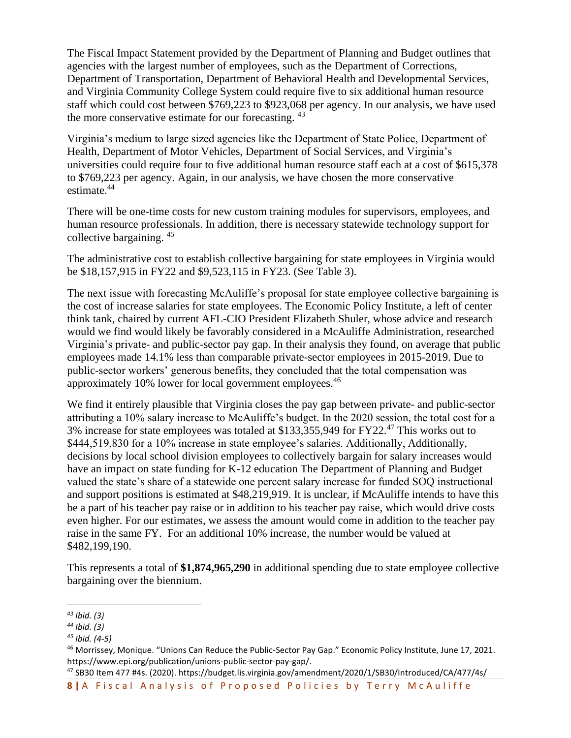The Fiscal Impact Statement provided by the Department of Planning and Budget outlines that agencies with the largest number of employees, such as the Department of Corrections, Department of Transportation, Department of Behavioral Health and Developmental Services, and Virginia Community College System could require five to six additional human resource staff which could cost between \$769,223 to \$923,068 per agency. In our analysis, we have used the more conservative estimate for our forecasting.  $43$ 

Virginia's medium to large sized agencies like the Department of State Police, Department of Health, Department of Motor Vehicles, Department of Social Services, and Virginia's universities could require four to five additional human resource staff each at a cost of \$615,378 to \$769,223 per agency. Again, in our analysis, we have chosen the more conservative estimate.<sup>44</sup>

There will be one-time costs for new custom training modules for supervisors, employees, and human resource professionals. In addition, there is necessary statewide technology support for collective bargaining. <sup>45</sup>

The administrative cost to establish collective bargaining for state employees in Virginia would be \$18,157,915 in FY22 and \$9,523,115 in FY23. (See Table 3).

The next issue with forecasting McAuliffe's proposal for state employee collective bargaining is the cost of increase salaries for state employees. The Economic Policy Institute, a left of center think tank, chaired by current AFL-CIO President Elizabeth Shuler, whose advice and research would we find would likely be favorably considered in a McAuliffe Administration, researched Virginia's private- and public-sector pay gap. In their analysis they found, on average that public employees made 14.1% less than comparable private-sector employees in 2015-2019. Due to public-sector workers' generous benefits, they concluded that the total compensation was approximately 10% lower for local government employees.<sup>46</sup>

We find it entirely plausible that Virginia closes the pay gap between private- and public-sector attributing a 10% salary increase to McAuliffe's budget. In the 2020 session, the total cost for a 3% increase for state employees was totaled at \$133,355,949 for FY22.<sup>47</sup> This works out to \$444,519,830 for a 10% increase in state employee's salaries. Additionally, Additionally, decisions by local school division employees to collectively bargain for salary increases would have an impact on state funding for K-12 education The Department of Planning and Budget valued the state's share of a statewide one percent salary increase for funded SOQ instructional and support positions is estimated at \$48,219,919. It is unclear, if McAuliffe intends to have this be a part of his teacher pay raise or in addition to his teacher pay raise, which would drive costs even higher. For our estimates, we assess the amount would come in addition to the teacher pay raise in the same FY. For an additional 10% increase, the number would be valued at \$482,199,190.

This represents a total of **\$1,874,965,290** in additional spending due to state employee collective bargaining over the biennium.

*<sup>43</sup> Ibid. (3)*

*<sup>44</sup> Ibid. (3)*

*<sup>45</sup> Ibid. (4-5)*

<sup>46</sup> Morrissey, Monique. "Unions Can Reduce the Public-Sector Pay Gap." Economic Policy Institute, June 17, 2021. https://www.epi.org/publication/unions-public-sector-pay-gap/.

<sup>47</sup> SB30 Item 477 #4s. (2020). https://budget.lis.virginia.gov/amendment/2020/1/SB30/Introduced/CA/477/4s/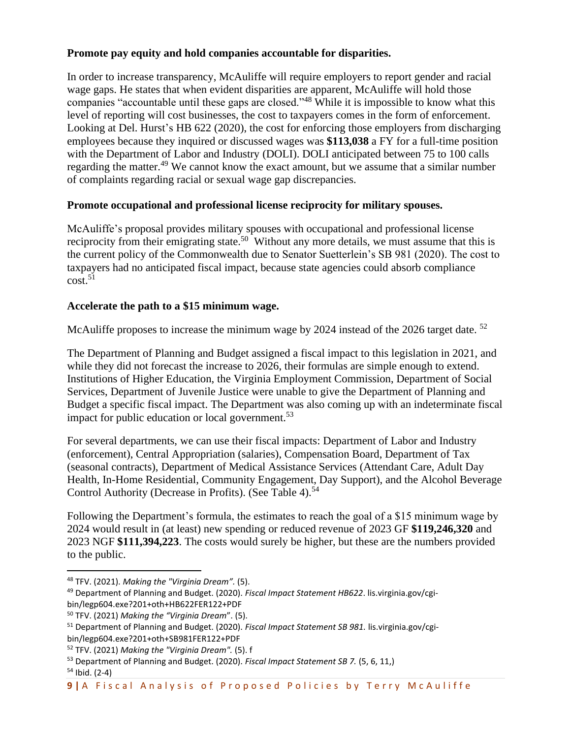#### **Promote pay equity and hold companies accountable for disparities.**

In order to increase transparency, McAuliffe will require employers to report gender and racial wage gaps. He states that when evident disparities are apparent, McAuliffe will hold those companies "accountable until these gaps are closed."<sup>48</sup> While it is impossible to know what this level of reporting will cost businesses, the cost to taxpayers comes in the form of enforcement. Looking at Del. Hurst's HB 622 (2020), the cost for enforcing those employers from discharging employees because they inquired or discussed wages was **\$113,038** a FY for a full-time position with the Department of Labor and Industry (DOLI). DOLI anticipated between 75 to 100 calls regarding the matter.<sup>49</sup> We cannot know the exact amount, but we assume that a similar number of complaints regarding racial or sexual wage gap discrepancies.

#### **Promote occupational and professional license reciprocity for military spouses.**

McAuliffe's proposal provides military spouses with occupational and professional license reciprocity from their emigrating state.<sup>50</sup> Without any more details, we must assume that this is the current policy of the Commonwealth due to Senator Suetterlein's SB 981 (2020). The cost to taxpayers had no anticipated fiscal impact, because state agencies could absorb compliance cost. 51

#### **Accelerate the path to a \$15 minimum wage.**

McAuliffe proposes to increase the minimum wage by 2024 instead of the 2026 target date.<sup>52</sup>

The Department of Planning and Budget assigned a fiscal impact to this legislation in 2021, and while they did not forecast the increase to 2026, their formulas are simple enough to extend. Institutions of Higher Education, the Virginia Employment Commission, Department of Social Services, Department of Juvenile Justice were unable to give the Department of Planning and Budget a specific fiscal impact. The Department was also coming up with an indeterminate fiscal impact for public education or local government.<sup>53</sup>

For several departments, we can use their fiscal impacts: Department of Labor and Industry (enforcement), Central Appropriation (salaries), Compensation Board, Department of Tax (seasonal contracts), Department of Medical Assistance Services (Attendant Care, Adult Day Health, In-Home Residential, Community Engagement, Day Support), and the Alcohol Beverage Control Authority (Decrease in Profits). (See Table 4).<sup>54</sup>

Following the Department's formula, the estimates to reach the goal of a \$15 minimum wage by 2024 would result in (at least) new spending or reduced revenue of 2023 GF **\$119,246,320** and 2023 NGF **\$111,394,223**. The costs would surely be higher, but these are the numbers provided to the public.

<sup>48</sup> TFV. (2021). *Making the "Virginia Dream".* (5).

<sup>49</sup> Department of Planning and Budget. (2020). *Fiscal Impact Statement HB622*. lis.virginia.gov/cgibin/legp604.exe?201+oth+HB622FER122+PDF

<sup>50</sup> TFV. (2021) *Making the "Virginia Dream*". (5).

<sup>51</sup> Department of Planning and Budget. (2020). *Fiscal Impact Statement SB 981.* lis.virginia.gov/cgibin/legp604.exe?201+oth+SB981FER122+PDF

<sup>52</sup> TFV. (2021) *Making the "Virginia Dream".* (5). f

<sup>53</sup> Department of Planning and Budget. (2020). *Fiscal Impact Statement SB 7.* (5, 6, 11,)

 $54$  Ibid. (2-4)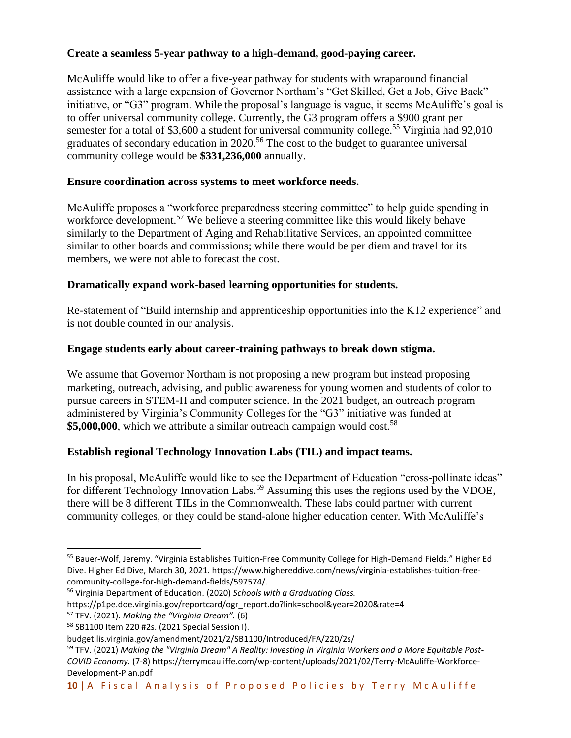# **Create a seamless 5-year pathway to a high-demand, good-paying career.**

McAuliffe would like to offer a five-year pathway for students with wraparound financial assistance with a large expansion of Governor Northam's "Get Skilled, Get a Job, Give Back" initiative, or "G3" program. While the proposal's language is vague, it seems McAuliffe's goal is to offer universal community college. Currently, the G3 program offers a \$900 grant per semester for a total of \$3,600 a student for universal community college.<sup>55</sup> Virginia had 92,010 graduates of secondary education in 2020.<sup>56</sup> The cost to the budget to guarantee universal community college would be **\$331,236,000** annually.

# **Ensure coordination across systems to meet workforce needs.**

McAuliffe proposes a "workforce preparedness steering committee" to help guide spending in workforce development.<sup>57</sup> We believe a steering committee like this would likely behave similarly to the Department of Aging and Rehabilitative Services, an appointed committee similar to other boards and commissions; while there would be per diem and travel for its members, we were not able to forecast the cost.

# **Dramatically expand work-based learning opportunities for students.**

Re-statement of "Build internship and apprenticeship opportunities into the K12 experience" and is not double counted in our analysis.

# **Engage students early about career-training pathways to break down stigma.**

We assume that Governor Northam is not proposing a new program but instead proposing marketing, outreach, advising, and public awareness for young women and students of color to pursue careers in STEM-H and computer science. In the 2021 budget, an outreach program administered by Virginia's Community Colleges for the "G3" initiative was funded at \$5,000,000, which we attribute a similar outreach campaign would cost.<sup>58</sup>

## **Establish regional Technology Innovation Labs (TIL) and impact teams.**

In his proposal, McAuliffe would like to see the Department of Education "cross-pollinate ideas" for different Technology Innovation Labs.<sup>59</sup> Assuming this uses the regions used by the VDOE, there will be 8 different TILs in the Commonwealth. These labs could partner with current community colleges, or they could be stand-alone higher education center. With McAuliffe's

<sup>55</sup> Bauer-Wolf, Jeremy. "Virginia Establishes Tuition-Free Community College for High-Demand Fields." Higher Ed Dive. Higher Ed Dive, March 30, 2021. https://www.highereddive.com/news/virginia-establishes-tuition-freecommunity-college-for-high-demand-fields/597574/.

<sup>56</sup> Virginia Department of Education. (2020) *Schools with a Graduating Class.*

https://p1pe.doe.virginia.gov/reportcard/ogr\_report.do?link=school&year=2020&rate=4

<sup>57</sup> TFV. (2021). *Making the "Virginia Dream".* (6)

<sup>58</sup> SB1100 Item 220 #2s. (2021 Special Session I).

budget.lis.virginia.gov/amendment/2021/2/SB1100/Introduced/FA/220/2s/

<sup>59</sup> TFV. (2021) *Making the "Virginia Dream" A Reality: Investing in Virginia Workers and a More Equitable Post-COVID Economy.* (7-8) https://terrymcauliffe.com/wp-content/uploads/2021/02/Terry-McAuliffe-Workforce-Development-Plan.pdf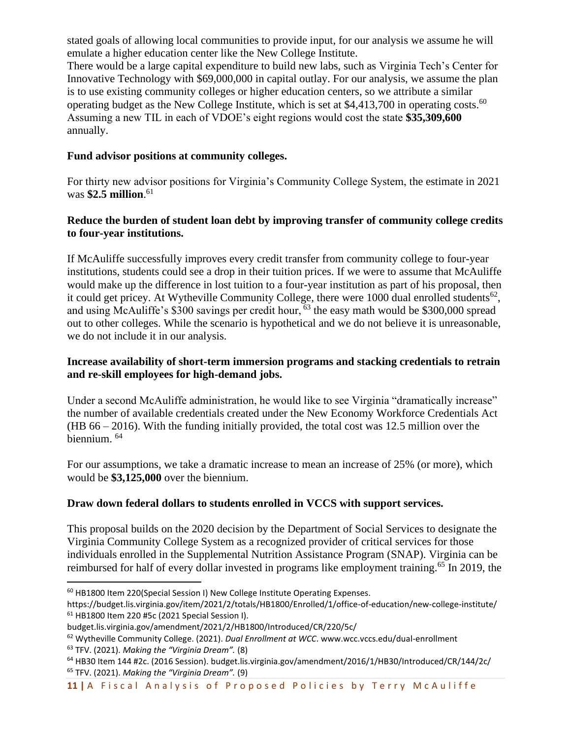stated goals of allowing local communities to provide input, for our analysis we assume he will emulate a higher education center like the New College Institute.

There would be a large capital expenditure to build new labs, such as Virginia Tech's Center for Innovative Technology with \$69,000,000 in capital outlay. For our analysis, we assume the plan is to use existing community colleges or higher education centers, so we attribute a similar operating budget as the New College Institute, which is set at  $$4,413,700$  in operating costs.<sup>60</sup> Assuming a new TIL in each of VDOE's eight regions would cost the state **\$35,309,600** annually.

## **Fund advisor positions at community colleges.**

For thirty new advisor positions for Virginia's Community College System, the estimate in 2021 was **\$2.5 million**. 61

# **Reduce the burden of student loan debt by improving transfer of community college credits to four-year institutions.**

If McAuliffe successfully improves every credit transfer from community college to four-year institutions, students could see a drop in their tuition prices. If we were to assume that McAuliffe would make up the difference in lost tuition to a four-year institution as part of his proposal, then it could get pricey. At Wytheville Community College, there were 1000 dual enrolled students<sup>62</sup>, and using McAuliffe's  $\frac{$8300}{$300}$  savings per credit hour, <sup>63</sup> the easy math would be \$300,000 spread out to other colleges. While the scenario is hypothetical and we do not believe it is unreasonable, we do not include it in our analysis.

## **Increase availability of short-term immersion programs and stacking credentials to retrain and re-skill employees for high-demand jobs.**

Under a second McAuliffe administration, he would like to see Virginia "dramatically increase" the number of available credentials created under the New Economy Workforce Credentials Act (HB 66 – 2016). With the funding initially provided, the total cost was 12.5 million over the biennium. 64

For our assumptions, we take a dramatic increase to mean an increase of 25% (or more), which would be **\$3,125,000** over the biennium.

# **Draw down federal dollars to students enrolled in VCCS with support services.**

This proposal builds on the 2020 decision by the Department of Social Services to designate the Virginia Community College System as a recognized provider of critical services for those individuals enrolled in the Supplemental Nutrition Assistance Program (SNAP). Virginia can be reimbursed for half of every dollar invested in programs like employment training.<sup>65</sup> In 2019, the

<sup>60</sup> HB1800 Item 220(Special Session I) New College Institute Operating Expenses.

https://budget.lis.virginia.gov/item/2021/2/totals/HB1800/Enrolled/1/office-of-education/new-college-institute/ <sup>61</sup> HB1800 Item 220 #5c (2021 Special Session I).

budget.lis.virginia.gov/amendment/2021/2/HB1800/Introduced/CR/220/5c/

<sup>62</sup> Wytheville Community College. (2021). *Dual Enrollment at WCC*. www.wcc.vccs.edu/dual-enrollment <sup>63</sup> TFV. (2021). *Making the "Virginia Dream".* (8)

<sup>64</sup> HB30 Item 144 #2c. (2016 Session). budget.lis.virginia.gov/amendment/2016/1/HB30/Introduced/CR/144/2c/ <sup>65</sup> TFV. (2021). *Making the "Virginia Dream".* (9)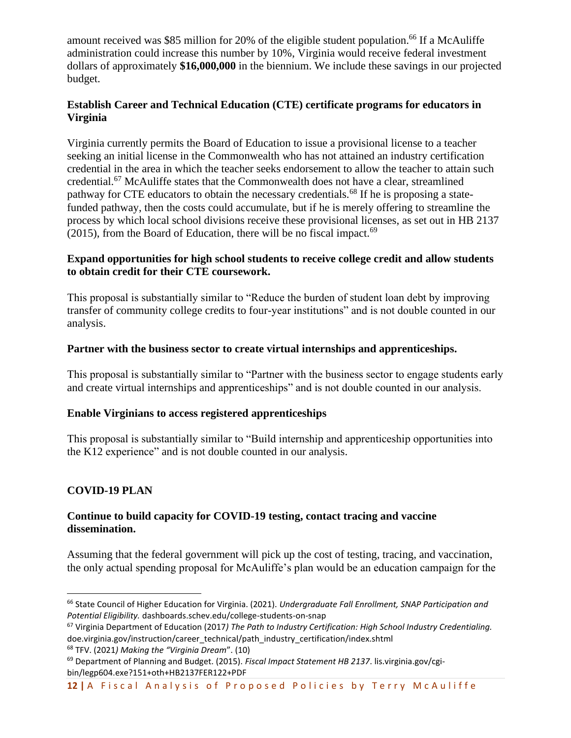amount received was \$85 million for 20% of the eligible student population.<sup>66</sup> If a McAuliffe administration could increase this number by 10%, Virginia would receive federal investment dollars of approximately **\$16,000,000** in the biennium. We include these savings in our projected budget.

## **Establish Career and Technical Education (CTE) certificate programs for educators in Virginia**

Virginia currently permits the Board of Education to issue a provisional license to a teacher seeking an initial license in the Commonwealth who has not attained an industry certification credential in the area in which the teacher seeks endorsement to allow the teacher to attain such credential.<sup>67</sup> McAuliffe states that the Commonwealth does not have a clear, streamlined pathway for CTE educators to obtain the necessary credentials.<sup>68</sup> If he is proposing a statefunded pathway, then the costs could accumulate, but if he is merely offering to streamline the process by which local school divisions receive these provisional licenses, as set out in HB 2137 (2015), from the Board of Education, there will be no fiscal impact. $69$ 

#### **Expand opportunities for high school students to receive college credit and allow students to obtain credit for their CTE coursework.**

This proposal is substantially similar to "Reduce the burden of student loan debt by improving transfer of community college credits to four-year institutions" and is not double counted in our analysis.

## **Partner with the business sector to create virtual internships and apprenticeships.**

This proposal is substantially similar to "Partner with the business sector to engage students early and create virtual internships and apprenticeships" and is not double counted in our analysis.

## **Enable Virginians to access registered apprenticeships**

This proposal is substantially similar to "Build internship and apprenticeship opportunities into the K12 experience" and is not double counted in our analysis.

## **COVID-19 PLAN**

#### **Continue to build capacity for COVID-19 testing, contact tracing and vaccine dissemination.**

Assuming that the federal government will pick up the cost of testing, tracing, and vaccination, the only actual spending proposal for McAuliffe's plan would be an education campaign for the

<sup>68</sup> TFV. (2021*) Making the "Virginia Dream*". (10)

<sup>66</sup> State Council of Higher Education for Virginia. (2021). *Undergraduate Fall Enrollment, SNAP Participation and Potential Eligibility.* dashboards.schev.edu/college-students-on-snap

<sup>67</sup> Virginia Department of Education (2017*) The Path to Industry Certification: High School Industry Credentialing.* doe.virginia.gov/instruction/career\_technical/path\_industry\_certification/index.shtml

<sup>69</sup> Department of Planning and Budget. (2015). *Fiscal Impact Statement HB 2137*. lis.virginia.gov/cgibin/legp604.exe?151+oth+HB2137FER122+PDF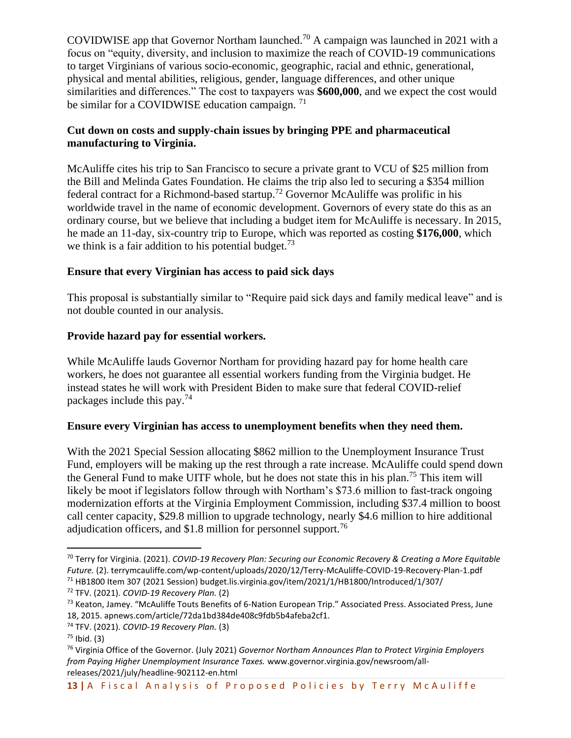COVIDWISE app that Governor Northam launched.<sup>70</sup> A campaign was launched in 2021 with a focus on "equity, diversity, and inclusion to maximize the reach of COVID-19 communications to target Virginians of various socio-economic, geographic, racial and ethnic, generational, physical and mental abilities, religious, gender, language differences, and other unique similarities and differences." The cost to taxpayers was **\$600,000**, and we expect the cost would be similar for a COVIDWISE education campaign.  $71$ 

## **Cut down on costs and supply-chain issues by bringing PPE and pharmaceutical manufacturing to Virginia.**

McAuliffe cites his trip to San Francisco to secure a private grant to VCU of \$25 million from the Bill and Melinda Gates Foundation. He claims the trip also led to securing a \$354 million federal contract for a Richmond-based startup.<sup>72</sup> Governor McAuliffe was prolific in his worldwide travel in the name of economic development. Governors of every state do this as an ordinary course, but we believe that including a budget item for McAuliffe is necessary. In 2015, he made an 11-day, six-country trip to Europe, which was reported as costing **\$176,000**, which we think is a fair addition to his potential budget.<sup>73</sup>

# **Ensure that every Virginian has access to paid sick days**

This proposal is substantially similar to "Require paid sick days and family medical leave" and is not double counted in our analysis.

## **Provide hazard pay for essential workers.**

While McAuliffe lauds Governor Northam for providing hazard pay for home health care workers, he does not guarantee all essential workers funding from the Virginia budget. He instead states he will work with President Biden to make sure that federal COVID-relief packages include this pay.<sup>74</sup>

## **Ensure every Virginian has access to unemployment benefits when they need them.**

With the 2021 Special Session allocating \$862 million to the Unemployment Insurance Trust Fund, employers will be making up the rest through a rate increase. McAuliffe could spend down the General Fund to make UITF whole, but he does not state this in his plan.<sup>75</sup> This item will likely be moot if legislators follow through with Northam's \$73.6 million to fast-track ongoing modernization efforts at the Virginia Employment Commission, including \$37.4 million to boost call center capacity, \$29.8 million to upgrade technology, nearly \$4.6 million to hire additional adjudication officers, and  $$1.8$  million for personnel support.<sup>76</sup>

<sup>70</sup> Terry for Virginia. (2021). *COVID-19 Recovery Plan: Securing our Economic Recovery & Creating a More Equitable Future.* (2). terrymcauliffe.com/wp-content/uploads/2020/12/Terry-McAuliffe-COVID-19-Recovery-Plan-1.pdf  $71$  HB1800 Item 307 (2021 Session) budget.lis.virginia.gov/item/2021/1/HB1800/Introduced/1/307/

<sup>72</sup> TFV. (2021). *COVID-19 Recovery Plan.* (2)

<sup>73</sup> Keaton, Jamey. "McAuliffe Touts Benefits of 6-Nation European Trip." Associated Press. Associated Press, June 18, 2015. apnews.com/article/72da1bd384de408c9fdb5b4afeba2cf1.

<sup>74</sup> TFV. (2021). *COVID-19 Recovery Plan.* (3)

 $75$  Ibid. (3)

<sup>76</sup> Virginia Office of the Governor. (July 2021) *Governor Northam Announces Plan to Protect Virginia Employers from Paying Higher Unemployment Insurance Taxes.* www.governor.virginia.gov/newsroom/allreleases/2021/july/headline-902112-en.html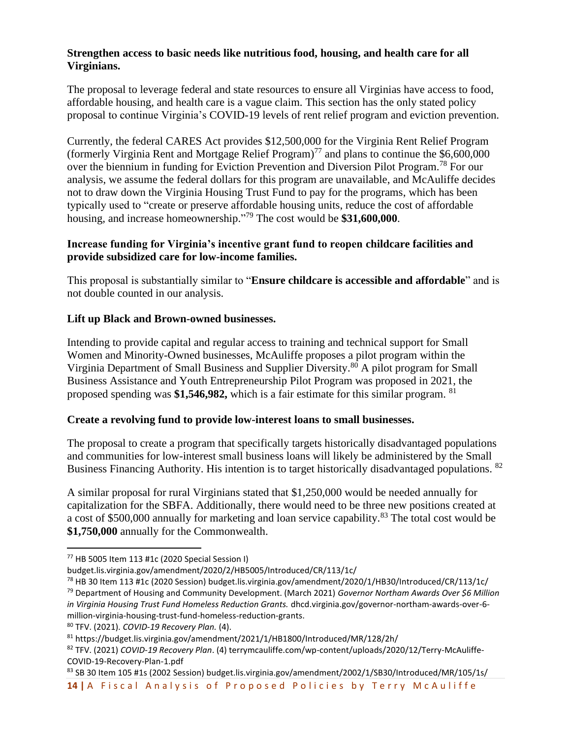## **Strengthen access to basic needs like nutritious food, housing, and health care for all Virginians.**

The proposal to leverage federal and state resources to ensure all Virginias have access to food, affordable housing, and health care is a vague claim. This section has the only stated policy proposal to continue Virginia's COVID-19 levels of rent relief program and eviction prevention.

Currently, the federal CARES Act provides \$12,500,000 for the Virginia Rent Relief Program (formerly Virginia Rent and Mortgage Relief Program)<sup>77</sup> and plans to continue the  $$6,600,000$ over the biennium in funding for Eviction Prevention and Diversion Pilot Program.<sup>78</sup> For our analysis, we assume the federal dollars for this program are unavailable, and McAuliffe decides not to draw down the Virginia Housing Trust Fund to pay for the programs, which has been typically used to "create or preserve affordable housing units, reduce the cost of affordable housing, and increase homeownership." <sup>79</sup> The cost would be **\$31,600,000**.

## **Increase funding for Virginia's incentive grant fund to reopen childcare facilities and provide subsidized care for low-income families.**

This proposal is substantially similar to "**Ensure childcare is accessible and affordable**" and is not double counted in our analysis.

# **Lift up Black and Brown-owned businesses.**

Intending to provide capital and regular access to training and technical support for Small Women and Minority-Owned businesses, McAuliffe proposes a pilot program within the Virginia Department of Small Business and Supplier Diversity.<sup>80</sup> A pilot program for Small Business Assistance and Youth Entrepreneurship Pilot Program was proposed in 2021, the proposed spending was **\$1,546,982,** which is a fair estimate for this similar program. <sup>81</sup>

## **Create a revolving fund to provide low-interest loans to small businesses.**

The proposal to create a program that specifically targets historically disadvantaged populations and communities for low-interest small business loans will likely be administered by the Small Business Financing Authority. His intention is to target historically disadvantaged populations. <sup>82</sup>

A similar proposal for rural Virginians stated that \$1,250,000 would be needed annually for capitalization for the SBFA. Additionally, there would need to be three new positions created at a cost of \$500,000 annually for marketing and loan service capability.<sup>83</sup> The total cost would be **\$1,750,000** annually for the Commonwealth.

14 | A Fiscal Analysis of Proposed Policies by Terry McAuliffe 83 SB 30 Item 105 #1s (2002 Session) budget.lis.virginia.gov/amendment/2002/1/SB30/Introduced/MR/105/1s/

 $77$  HB 5005 Item 113 #1c (2020 Special Session I)

budget.lis.virginia.gov/amendment/2020/2/HB5005/Introduced/CR/113/1c/

<sup>78</sup> HB 30 Item 113 #1c (2020 Session) budget.lis.virginia.gov/amendment/2020/1/HB30/Introduced/CR/113/1c/

<sup>79</sup> Department of Housing and Community Development. (March 2021) *Governor Northam Awards Over \$6 Million in Virginia Housing Trust Fund Homeless Reduction Grants.* dhcd.virginia.gov/governor-northam-awards-over-6 million-virginia-housing-trust-fund-homeless-reduction-grants.

<sup>80</sup> TFV. (2021). *COVID-19 Recovery Plan.* (4).

<sup>81</sup> https://budget.lis.virginia.gov/amendment/2021/1/HB1800/Introduced/MR/128/2h/

<sup>82</sup> TFV. (2021) *COVID-19 Recovery Plan*. (4) terrymcauliffe.com/wp-content/uploads/2020/12/Terry-McAuliffe-COVID-19-Recovery-Plan-1.pdf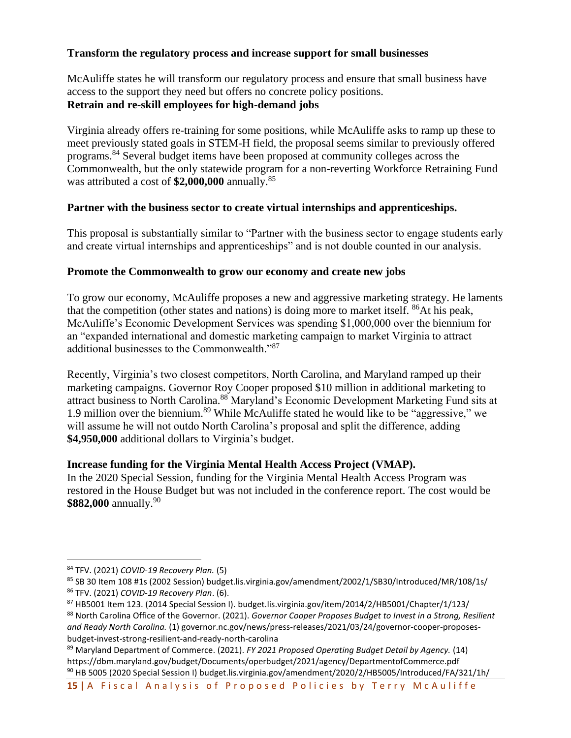#### **Transform the regulatory process and increase support for small businesses**

McAuliffe states he will transform our regulatory process and ensure that small business have access to the support they need but offers no concrete policy positions. **Retrain and re-skill employees for high-demand jobs**

Virginia already offers re-training for some positions, while McAuliffe asks to ramp up these to meet previously stated goals in STEM-H field, the proposal seems similar to previously offered programs.<sup>84</sup> Several budget items have been proposed at community colleges across the Commonwealth, but the only statewide program for a non-reverting Workforce Retraining Fund was attributed a cost of **\$2,000,000** annually.<sup>85</sup>

#### **Partner with the business sector to create virtual internships and apprenticeships.**

This proposal is substantially similar to "Partner with the business sector to engage students early and create virtual internships and apprenticeships" and is not double counted in our analysis.

#### **Promote the Commonwealth to grow our economy and create new jobs**

To grow our economy, McAuliffe proposes a new and aggressive marketing strategy. He laments that the competition (other states and nations) is doing more to market itself.  $86$ At his peak, McAuliffe's Economic Development Services was spending \$1,000,000 over the biennium for an "expanded international and domestic marketing campaign to market Virginia to attract additional businesses to the Commonwealth."<sup>87</sup>

Recently, Virginia's two closest competitors, North Carolina, and Maryland ramped up their marketing campaigns. Governor Roy Cooper proposed \$10 million in additional marketing to attract business to North Carolina.<sup>88</sup> Maryland's Economic Development Marketing Fund sits at 1.9 million over the biennium.<sup>89</sup> While McAuliffe stated he would like to be "aggressive," we will assume he will not outdo North Carolina's proposal and split the difference, adding **\$4,950,000** additional dollars to Virginia's budget.

#### **Increase funding for the Virginia Mental Health Access Project (VMAP).**

In the 2020 Special Session, funding for the Virginia Mental Health Access Program was restored in the House Budget but was not included in the conference report. The cost would be **\$882,000** annually.<sup>90</sup>

<sup>84</sup> TFV. (2021) *COVID-19 Recovery Plan.* (5)

<sup>85</sup> SB 30 Item 108 #1s (2002 Session) budget.lis.virginia.gov/amendment/2002/1/SB30/Introduced/MR/108/1s/ <sup>86</sup> TFV. (2021) *COVID-19 Recovery Plan*. (6).

<sup>87</sup> HB5001 Item 123. (2014 Special Session I). budget.lis.virginia.gov/item/2014/2/HB5001/Chapter/1/123/ <sup>88</sup> North Carolina Office of the Governor. (2021). *Governor Cooper Proposes Budget to Invest in a Strong, Resilient and Ready North Carolina.* (1) governor.nc.gov/news/press-releases/2021/03/24/governor-cooper-proposesbudget-invest-strong-resilient-and-ready-north-carolina

<sup>89</sup> Maryland Department of Commerce. (2021). *FY 2021 Proposed Operating Budget Detail by Agency.* (14) https://dbm.maryland.gov/budget/Documents/operbudget/2021/agency/DepartmentofCommerce.pdf <sup>90</sup> HB 5005 (2020 Special Session I) budget.lis.virginia.gov/amendment/2020/2/HB5005/Introduced/FA/321/1h/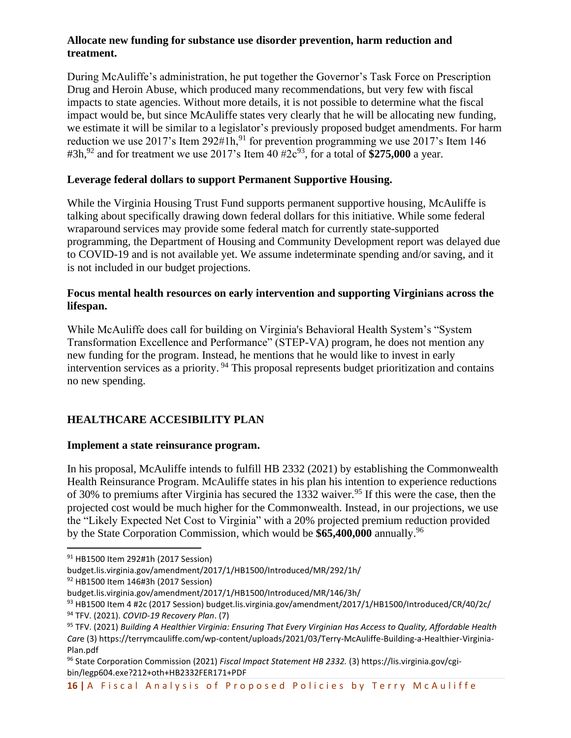#### **Allocate new funding for substance use disorder prevention, harm reduction and treatment.**

During McAuliffe's administration, he put together the Governor's Task Force on Prescription Drug and Heroin Abuse, which produced many recommendations, but very few with fiscal impacts to state agencies. Without more details, it is not possible to determine what the fiscal impact would be, but since McAuliffe states very clearly that he will be allocating new funding, we estimate it will be similar to a legislator's previously proposed budget amendments. For harm reduction we use 2017's Item 292#1h,<sup>91</sup> for prevention programming we use 2017's Item 146 #3h,<sup>92</sup> and for treatment we use 2017's Item  $40 \frac{H2c^{93}}{100}$ , for a total of \$275,000 a year.

# **Leverage federal dollars to support Permanent Supportive Housing.**

While the Virginia Housing Trust Fund supports permanent supportive housing, McAuliffe is talking about specifically drawing down federal dollars for this initiative. While some federal wraparound services may provide some federal match for currently state-supported programming, the Department of Housing and Community Development report was delayed due to COVID-19 and is not available yet. We assume indeterminate spending and/or saving, and it is not included in our budget projections.

#### **Focus mental health resources on early intervention and supporting Virginians across the lifespan.**

While McAuliffe does call for building on Virginia's Behavioral Health System's "System Transformation Excellence and Performance" (STEP-VA) program, he does not mention any new funding for the program. Instead, he mentions that he would like to invest in early intervention services as a priority.<sup>94</sup> This proposal represents budget prioritization and contains no new spending.

# **HEALTHCARE ACCESIBILITY PLAN**

## **Implement a state reinsurance program.**

In his proposal, McAuliffe intends to fulfill HB 2332 (2021) by establishing the Commonwealth Health Reinsurance Program. McAuliffe states in his plan his intention to experience reductions of 30% to premiums after Virginia has secured the 1332 waiver.<sup>95</sup> If this were the case, then the projected cost would be much higher for the Commonwealth. Instead, in our projections, we use the "Likely Expected Net Cost to Virginia" with a 20% projected premium reduction provided by the State Corporation Commission, which would be **\$65,400,000** annually.<sup>96</sup>

<sup>91</sup> HB1500 Item 292#1h (2017 Session)

budget.lis.virginia.gov/amendment/2017/1/HB1500/Introduced/MR/292/1h/

<sup>92</sup> HB1500 Item 146#3h (2017 Session)

budget.lis.virginia.gov/amendment/2017/1/HB1500/Introduced/MR/146/3h/

<sup>93</sup> HB1500 Item 4 #2c (2017 Session) budget.lis.virginia.gov/amendment/2017/1/HB1500/Introduced/CR/40/2c/ <sup>94</sup> TFV. (2021). *COVID-19 Recovery Plan*. (7)

<sup>95</sup> TFV. (2021) *Building A Healthier Virginia: Ensuring That Every Virginian Has Access to Quality, Affordable Health Car*e (3) https://terrymcauliffe.com/wp-content/uploads/2021/03/Terry-McAuliffe-Building-a-Healthier-Virginia-Plan.pdf

<sup>96</sup> State Corporation Commission (2021) *Fiscal Impact Statement HB 2332.* (3) https://lis.virginia.gov/cgibin/legp604.exe?212+oth+HB2332FER171+PDF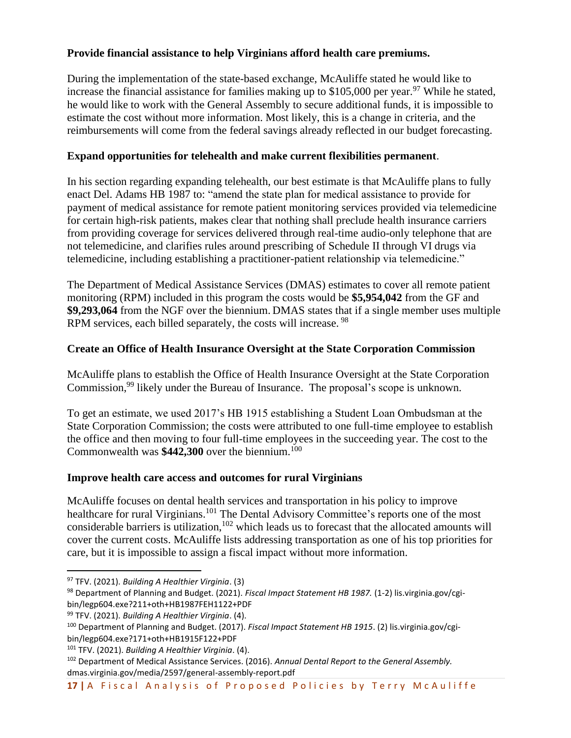# **Provide financial assistance to help Virginians afford health care premiums.**

During the implementation of the state-based exchange, McAuliffe stated he would like to increase the financial assistance for families making up to  $$105,000$  per year.<sup>97</sup> While he stated, he would like to work with the General Assembly to secure additional funds, it is impossible to estimate the cost without more information. Most likely, this is a change in criteria, and the reimbursements will come from the federal savings already reflected in our budget forecasting.

# **Expand opportunities for telehealth and make current flexibilities permanent**.

In his section regarding expanding telehealth, our best estimate is that McAuliffe plans to fully enact Del. Adams HB 1987 to: "amend the state plan for medical assistance to provide for payment of medical assistance for remote patient monitoring services provided via telemedicine for certain high-risk patients, makes clear that nothing shall preclude health insurance carriers from providing coverage for services delivered through real-time audio-only telephone that are not telemedicine, and clarifies rules around prescribing of Schedule II through VI drugs via telemedicine, including establishing a practitioner-patient relationship via telemedicine."

The Department of Medical Assistance Services (DMAS) estimates to cover all remote patient monitoring (RPM) included in this program the costs would be **\$5,954,042** from the GF and **\$9,293,064** from the NGF over the biennium. DMAS states that if a single member uses multiple RPM services, each billed separately, the costs will increase. <sup>98</sup>

# **Create an Office of Health Insurance Oversight at the State Corporation Commission**

McAuliffe plans to establish the Office of Health Insurance Oversight at the State Corporation Commission,<sup>99</sup> likely under the Bureau of Insurance. The proposal's scope is unknown.

To get an estimate, we used 2017's HB 1915 establishing a Student Loan Ombudsman at the State Corporation Commission; the costs were attributed to one full-time employee to establish the office and then moving to four full-time employees in the succeeding year. The cost to the Commonwealth was **\$442,300** over the biennium.<sup>100</sup>

## **Improve health care access and outcomes for rural Virginians**

McAuliffe focuses on dental health services and transportation in his policy to improve healthcare for rural Virginians.<sup>101</sup> The Dental Advisory Committee's reports one of the most considerable barriers is utilization, $102$  which leads us to forecast that the allocated amounts will cover the current costs. McAuliffe lists addressing transportation as one of his top priorities for care, but it is impossible to assign a fiscal impact without more information.

<sup>97</sup> TFV. (2021). *Building A Healthier Virginia*. (3)

<sup>98</sup> Department of Planning and Budget. (2021). *Fiscal Impact Statement HB 1987.* (1-2) lis.virginia.gov/cgibin/legp604.exe?211+oth+HB1987FEH1122+PDF

<sup>99</sup> TFV. (2021). *Building A Healthier Virginia*. (4).

<sup>100</sup> Department of Planning and Budget. (2017). *Fiscal Impact Statement HB 1915*. (2) lis.virginia.gov/cgibin/legp604.exe?171+oth+HB1915F122+PDF

<sup>101</sup> TFV. (2021). *Building A Healthier Virginia*. (4).

<sup>102</sup> Department of Medical Assistance Services. (2016). *Annual Dental Report to the General Assembly.* dmas.virginia.gov/media/2597/general-assembly-report.pdf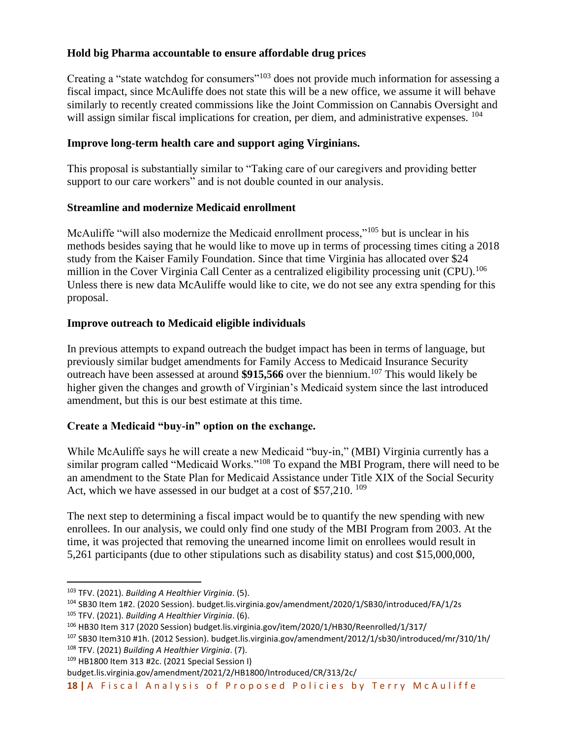# **Hold big Pharma accountable to ensure affordable drug prices**

Creating a "state watchdog for consumers"<sup>103</sup> does not provide much information for assessing a fiscal impact, since McAuliffe does not state this will be a new office, we assume it will behave similarly to recently created commissions like the Joint Commission on Cannabis Oversight and will assign similar fiscal implications for creation, per diem, and administrative expenses. <sup>104</sup>

# **Improve long-term health care and support aging Virginians.**

This proposal is substantially similar to "Taking care of our caregivers and providing better support to our care workers" and is not double counted in our analysis.

## **Streamline and modernize Medicaid enrollment**

McAuliffe "will also modernize the Medicaid enrollment process,"<sup>105</sup> but is unclear in his methods besides saying that he would like to move up in terms of processing times citing a 2018 study from the Kaiser Family Foundation. Since that time Virginia has allocated over \$24 million in the Cover Virginia Call Center as a centralized eligibility processing unit (CPU).<sup>106</sup> Unless there is new data McAuliffe would like to cite, we do not see any extra spending for this proposal.

# **Improve outreach to Medicaid eligible individuals**

In previous attempts to expand outreach the budget impact has been in terms of language, but previously similar budget amendments for Family Access to Medicaid Insurance Security outreach have been assessed at around **\$915,566** over the biennium. <sup>107</sup> This would likely be higher given the changes and growth of Virginian's Medicaid system since the last introduced amendment, but this is our best estimate at this time.

# **Create a Medicaid "buy-in" option on the exchange.**

While McAuliffe says he will create a new Medicaid "buy-in," (MBI) Virginia currently has a similar program called "Medicaid Works."<sup>108</sup> To expand the MBI Program, there will need to be an amendment to the State Plan for Medicaid Assistance under Title XIX of the Social Security Act, which we have assessed in our budget at a cost of \$57,210. <sup>109</sup>

The next step to determining a fiscal impact would be to quantify the new spending with new enrollees. In our analysis, we could only find one study of the MBI Program from 2003. At the time, it was projected that removing the unearned income limit on enrollees would result in 5,261 participants (due to other stipulations such as disability status) and cost \$15,000,000,

<sup>103</sup> TFV. (2021). *Building A Healthier Virginia*. (5).

<sup>104</sup> SB30 Item 1#2. (2020 Session). budget.lis.virginia.gov/amendment/2020/1/SB30/introduced/FA/1/2s <sup>105</sup> TFV. (2021). *Building A Healthier Virginia*. (6).

<sup>106</sup> HB30 Item 317 (2020 Session) budget.lis.virginia.gov/item/2020/1/HB30/Reenrolled/1/317/

<sup>107</sup> SB30 Item310 #1h. (2012 Session). budget.lis.virginia.gov/amendment/2012/1/sb30/introduced/mr/310/1h/ <sup>108</sup> TFV. (2021) *Building A Healthier Virginia*. (7).

<sup>109</sup> HB1800 Item 313 #2c. (2021 Special Session I)

budget.lis.virginia.gov/amendment/2021/2/HB1800/Introduced/CR/313/2c/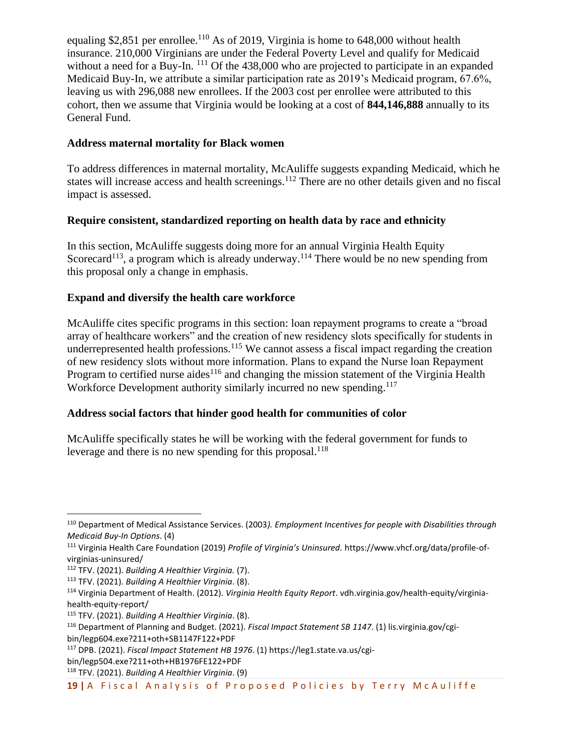equaling \$2,851 per enrollee.<sup>110</sup> As of 2019, Virginia is home to  $648,000$  without health insurance. 210,000 Virginians are under the Federal Poverty Level and qualify for Medicaid without a need for a Buy-In. <sup>111</sup> Of the 438,000 who are projected to participate in an expanded Medicaid Buy-In, we attribute a similar participation rate as 2019's Medicaid program, 67.6%, leaving us with 296,088 new enrollees. If the 2003 cost per enrollee were attributed to this cohort, then we assume that Virginia would be looking at a cost of **844,146,888** annually to its General Fund.

## **Address maternal mortality for Black women**

To address differences in maternal mortality, McAuliffe suggests expanding Medicaid, which he states will increase access and health screenings.<sup>112</sup> There are no other details given and no fiscal impact is assessed.

# **Require consistent, standardized reporting on health data by race and ethnicity**

In this section, McAuliffe suggests doing more for an annual Virginia Health Equity Scorecard<sup>113</sup>, a program which is already underway.<sup>114</sup> There would be no new spending from this proposal only a change in emphasis.

# **Expand and diversify the health care workforce**

McAuliffe cites specific programs in this section: loan repayment programs to create a "broad array of healthcare workers" and the creation of new residency slots specifically for students in underrepresented health professions.<sup>115</sup> We cannot assess a fiscal impact regarding the creation of new residency slots without more information. Plans to expand the Nurse loan Repayment Program to certified nurse aides<sup>116</sup> and changing the mission statement of the Virginia Health Workforce Development authority similarly incurred no new spending.<sup>117</sup>

# **Address social factors that hinder good health for communities of color**

McAuliffe specifically states he will be working with the federal government for funds to leverage and there is no new spending for this proposal.<sup>118</sup>

<sup>110</sup> Department of Medical Assistance Services. (2003*). Employment Incentives for people with Disabilities through Medicaid Buy-In Options*. (4)

<sup>111</sup> Virginia Health Care Foundation (2019) *Profile of Virginia's Uninsured.* https://www.vhcf.org/data/profile-ofvirginias-uninsured/

<sup>112</sup> TFV. (2021). *Building A Healthier Virginia.* (7).

<sup>113</sup> TFV. (2021). *Building A Healthier Virginia*. (8).

<sup>114</sup> Virginia Department of Health. (2012). *Virginia Health Equity Report*. vdh.virginia.gov/health-equity/virginiahealth-equity-report/

<sup>115</sup> TFV. (2021). *Building A Healthier Virginia*. (8).

<sup>116</sup> Department of Planning and Budget. (2021). *Fiscal Impact Statement SB 1147*. (1) lis.virginia.gov/cgibin/legp604.exe?211+oth+SB1147F122+PDF

<sup>117</sup> DPB. (2021). *Fiscal Impact Statement HB 1976*. (1) https://leg1.state.va.us/cgi-

bin/legp504.exe?211+oth+HB1976FE122+PDF

<sup>118</sup> TFV. (2021). *Building A Healthier Virginia*. (9)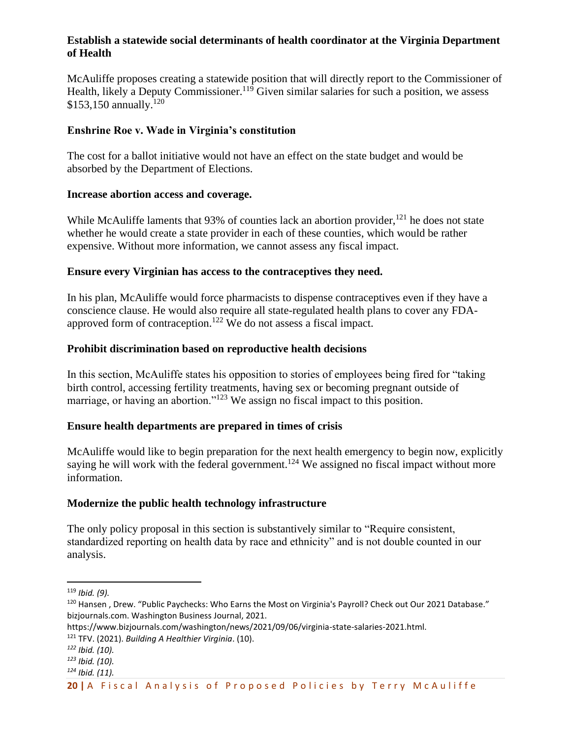#### **Establish a statewide social determinants of health coordinator at the Virginia Department of Health**

McAuliffe proposes creating a statewide position that will directly report to the Commissioner of Health, likely a Deputy Commissioner.<sup>119</sup> Given similar salaries for such a position, we assess \$153,150 annually.<sup>120</sup>

#### **Enshrine Roe v. Wade in Virginia's constitution**

The cost for a ballot initiative would not have an effect on the state budget and would be absorbed by the Department of Elections.

#### **Increase abortion access and coverage.**

While McAuliffe laments that  $93\%$  of counties lack an abortion provider,  $121$  he does not state whether he would create a state provider in each of these counties, which would be rather expensive. Without more information, we cannot assess any fiscal impact.

#### **Ensure every Virginian has access to the contraceptives they need.**

In his plan, McAuliffe would force pharmacists to dispense contraceptives even if they have a conscience clause. He would also require all state-regulated health plans to cover any FDAapproved form of contraception.<sup>122</sup> We do not assess a fiscal impact.

#### **Prohibit discrimination based on reproductive health decisions**

In this section, McAuliffe states his opposition to stories of employees being fired for "taking birth control, accessing fertility treatments, having sex or becoming pregnant outside of marriage, or having an abortion."<sup>123</sup> We assign no fiscal impact to this position.

## **Ensure health departments are prepared in times of crisis**

McAuliffe would like to begin preparation for the next health emergency to begin now, explicitly saying he will work with the federal government.<sup>124</sup> We assigned no fiscal impact without more information.

#### **Modernize the public health technology infrastructure**

The only policy proposal in this section is substantively similar to "Require consistent, standardized reporting on health data by race and ethnicity" and is not double counted in our analysis.

<sup>119</sup> *Ibid. (9).*

<sup>&</sup>lt;sup>120</sup> Hansen, Drew. "Public Paychecks: Who Earns the Most on Virginia's Payroll? Check out Our 2021 Database." bizjournals.com. Washington Business Journal, 2021.

https://www.bizjournals.com/washington/news/2021/09/06/virginia-state-salaries-2021.html.

<sup>121</sup> TFV. (2021). *Building A Healthier Virginia*. (10).

*<sup>122</sup> Ibid. (10).*

*<sup>123</sup> Ibid. (10).*

*<sup>124</sup> Ibid. (11).*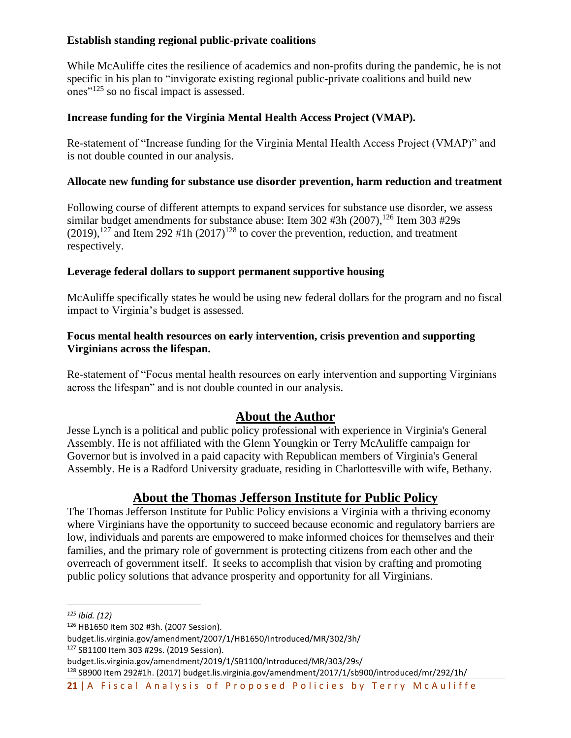## **Establish standing regional public-private coalitions**

While McAuliffe cites the resilience of academics and non-profits during the pandemic, he is not specific in his plan to "invigorate existing regional public-private coalitions and build new ones"<sup>125</sup> so no fiscal impact is assessed.

# **Increase funding for the Virginia Mental Health Access Project (VMAP).**

Re-statement of "Increase funding for the Virginia Mental Health Access Project (VMAP)" and is not double counted in our analysis.

## **Allocate new funding for substance use disorder prevention, harm reduction and treatment**

Following course of different attempts to expand services for substance use disorder, we assess similar budget amendments for substance abuse: Item 302 #3h (2007), <sup>126</sup> Item 303 #29s  $(2019)$ ,<sup>127</sup> and Item 292 #1h  $(2017)$ <sup>128</sup> to cover the prevention, reduction, and treatment respectively.

## **Leverage federal dollars to support permanent supportive housing**

McAuliffe specifically states he would be using new federal dollars for the program and no fiscal impact to Virginia's budget is assessed.

## **Focus mental health resources on early intervention, crisis prevention and supporting Virginians across the lifespan.**

Re-statement of "Focus mental health resources on early intervention and supporting Virginians across the lifespan" and is not double counted in our analysis.

# **About the Author**

Jesse Lynch is a political and public policy professional with experience in Virginia's General Assembly. He is not affiliated with the Glenn Youngkin or Terry McAuliffe campaign for Governor but is involved in a paid capacity with Republican members of Virginia's General Assembly. He is a Radford University graduate, residing in Charlottesville with wife, Bethany.

# **About the Thomas Jefferson Institute for Public Policy**

The Thomas Jefferson Institute for Public Policy envisions a Virginia with a thriving economy where Virginians have the opportunity to succeed because economic and regulatory barriers are low, individuals and parents are empowered to make informed choices for themselves and their families, and the primary role of government is protecting citizens from each other and the overreach of government itself. It seeks to accomplish that vision by crafting and promoting public policy solutions that advance prosperity and opportunity for all Virginians.

*<sup>125</sup> Ibid. (12)*

<sup>126</sup> HB1650 Item 302 #3h. (2007 Session).

budget.lis.virginia.gov/amendment/2007/1/HB1650/Introduced/MR/302/3h/

<sup>127</sup> SB1100 Item 303 #29s. (2019 Session).

budget.lis.virginia.gov/amendment/2019/1/SB1100/Introduced/MR/303/29s/

<sup>128</sup> SB900 Item 292#1h. (2017) budget.lis.virginia.gov/amendment/2017/1/sb900/introduced/mr/292/1h/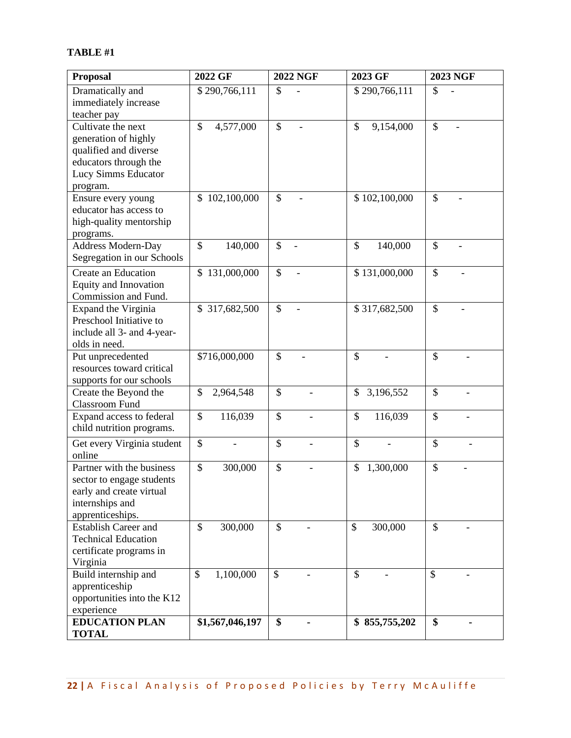# **TABLE #1**

| <b>Proposal</b>              | 2022 GF                  | <b>2022 NGF</b> | 2023 GF                  | <b>2023 NGF</b> |
|------------------------------|--------------------------|-----------------|--------------------------|-----------------|
| Dramatically and             | \$290,766,111            | \$              | \$290,766,111            | \$              |
| immediately increase         |                          |                 |                          |                 |
| teacher pay                  |                          |                 |                          |                 |
| Cultivate the next           | \$<br>4,577,000          | \$              | \$<br>9,154,000          | \$              |
| generation of highly         |                          |                 |                          |                 |
| qualified and diverse        |                          |                 |                          |                 |
| educators through the        |                          |                 |                          |                 |
| Lucy Simms Educator          |                          |                 |                          |                 |
| program.                     |                          |                 |                          |                 |
| Ensure every young           | \$102,100,000            | \$              | \$102,100,000            | \$              |
| educator has access to       |                          |                 |                          |                 |
| high-quality mentorship      |                          |                 |                          |                 |
| programs.                    |                          |                 |                          |                 |
| Address Modern-Day           | \$<br>140,000            | \$              | $\mathcal{S}$<br>140,000 | \$              |
| Segregation in our Schools   |                          |                 |                          |                 |
| Create an Education          | \$131,000,000            | \$              | \$131,000,000            | \$              |
| <b>Equity and Innovation</b> |                          |                 |                          |                 |
| Commission and Fund.         |                          |                 |                          |                 |
| Expand the Virginia          | \$317,682,500            | \$              | \$317,682,500            | \$              |
| Preschool Initiative to      |                          |                 |                          |                 |
| include all 3- and 4-year-   |                          |                 |                          |                 |
| olds in need.                |                          |                 |                          |                 |
| Put unprecedented            | \$716,000,000            | \$              | \$                       | \$              |
| resources toward critical    |                          |                 |                          |                 |
| supports for our schools     |                          |                 |                          |                 |
| Create the Beyond the        | 2,964,548<br>\$          | \$              | 3,196,552<br>\$          | \$              |
| <b>Classroom Fund</b>        |                          |                 |                          |                 |
| Expand access to federal     | \$<br>116,039            | \$              | \$<br>116,039            | \$              |
| child nutrition programs.    |                          |                 |                          |                 |
| Get every Virginia student   | \$                       | \$              | $\mathcal{S}$            | \$              |
| online                       |                          |                 |                          |                 |
| Partner with the business    | \$<br>300,000            | \$              | \$<br>1,300,000          | \$              |
| sector to engage students    |                          |                 |                          |                 |
| early and create virtual     |                          |                 |                          |                 |
| internships and              |                          |                 |                          |                 |
| apprenticeships.             |                          |                 |                          |                 |
| <b>Establish Career and</b>  | $\mathcal{S}$<br>300,000 | \$              | $\mathcal{S}$<br>300,000 | \$              |
| <b>Technical Education</b>   |                          |                 |                          |                 |
| certificate programs in      |                          |                 |                          |                 |
| Virginia                     |                          |                 |                          |                 |
| Build internship and         | \$<br>1,100,000          | $\mathcal{S}$   | \$                       | $\mathcal{S}$   |
| apprenticeship               |                          |                 |                          |                 |
| opportunities into the K12   |                          |                 |                          |                 |
| experience                   |                          |                 |                          |                 |
| <b>EDUCATION PLAN</b>        | \$1,567,046,197          | \$              | \$855,755,202            | \$              |
| <b>TOTAL</b>                 |                          |                 |                          |                 |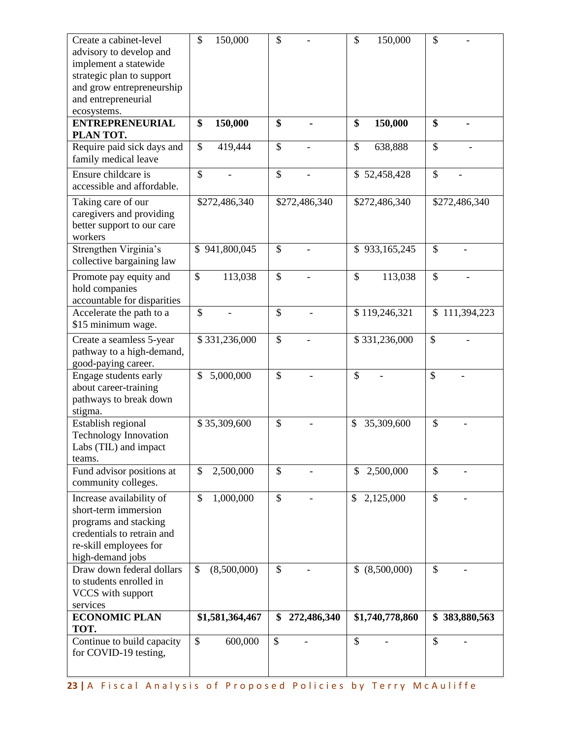| Create a cabinet-level<br>advisory to develop and    | $\mathcal{S}$<br>150,000   | \$                | \$<br>150,000    | \$            |
|------------------------------------------------------|----------------------------|-------------------|------------------|---------------|
| implement a statewide                                |                            |                   |                  |               |
| strategic plan to support                            |                            |                   |                  |               |
| and grow entrepreneurship                            |                            |                   |                  |               |
| and entrepreneurial                                  |                            |                   |                  |               |
| ecosystems.                                          |                            |                   |                  |               |
| <b>ENTREPRENEURIAL</b>                               | 150,000<br>\$              | \$                | 150,000<br>\$    | \$            |
| PLAN TOT.                                            |                            |                   |                  |               |
| Require paid sick days and                           | \$<br>419,444              | \$                | \$<br>638,888    | \$            |
| family medical leave                                 |                            |                   |                  |               |
| Ensure childcare is                                  | $\mathcal{S}$              | \$                | \$52,458,428     | \$            |
| accessible and affordable.                           |                            |                   |                  |               |
|                                                      |                            |                   |                  |               |
| Taking care of our                                   | \$272,486,340              | \$272,486,340     | \$272,486,340    | \$272,486,340 |
| caregivers and providing                             |                            |                   |                  |               |
| better support to our care                           |                            |                   |                  |               |
| workers<br>Strengthen Virginia's                     | \$941,800,045              | \$                |                  | \$            |
| collective bargaining law                            |                            |                   | \$933,165,245    |               |
|                                                      |                            |                   |                  |               |
| Promote pay equity and                               | \$<br>113,038              | \$                | 113,038<br>\$    | \$            |
| hold companies                                       |                            |                   |                  |               |
| accountable for disparities                          |                            |                   |                  |               |
| Accelerate the path to a                             | $\mathcal{S}$              | \$                | \$119,246,321    | \$111,394,223 |
| \$15 minimum wage.                                   |                            |                   |                  |               |
| Create a seamless 5-year                             | \$331,236,000              | \$                | \$331,236,000    | \$            |
| pathway to a high-demand,                            |                            |                   |                  |               |
| good-paying career.                                  |                            |                   |                  |               |
| Engage students early                                | 5,000,000<br>\$            | \$                | \$               | \$            |
| about career-training                                |                            |                   |                  |               |
| pathways to break down                               |                            |                   |                  |               |
| stigma.                                              |                            |                   |                  |               |
| Establish regional                                   | \$35,309,600               | \$                | \$<br>35,309,600 | \$            |
| <b>Technology Innovation</b>                         |                            |                   |                  |               |
| Labs (TIL) and impact                                |                            |                   |                  |               |
| teams.                                               |                            |                   |                  |               |
| Fund advisor positions at                            | $\mathcal{S}$<br>2,500,000 | \$                | 2,500,000<br>\$  | \$            |
| community colleges.                                  |                            |                   |                  |               |
| Increase availability of                             | 1,000,000<br>\$            | \$                | 2,125,000<br>\$  | \$            |
| short-term immersion                                 |                            |                   |                  |               |
| programs and stacking                                |                            |                   |                  |               |
| credentials to retrain and                           |                            |                   |                  |               |
| re-skill employees for                               |                            |                   |                  |               |
| high-demand jobs                                     |                            |                   |                  |               |
| Draw down federal dollars<br>to students enrolled in | \$<br>(8,500,000)          | \$                | \$ (8,500,000)   | \$            |
| VCCS with support                                    |                            |                   |                  |               |
| services                                             |                            |                   |                  |               |
| <b>ECONOMIC PLAN</b>                                 | \$1,581,364,467            | 272,486,340<br>\$ | \$1,740,778,860  | \$383,880,563 |
| TOT.                                                 |                            |                   |                  |               |
| Continue to build capacity                           | \$<br>600,000              | \$                | \$               | \$            |
| for COVID-19 testing,                                |                            |                   |                  |               |
|                                                      |                            |                   |                  |               |
|                                                      |                            |                   |                  |               |

23 | A Fiscal Analysis of Proposed Policies by Terry McAuliffe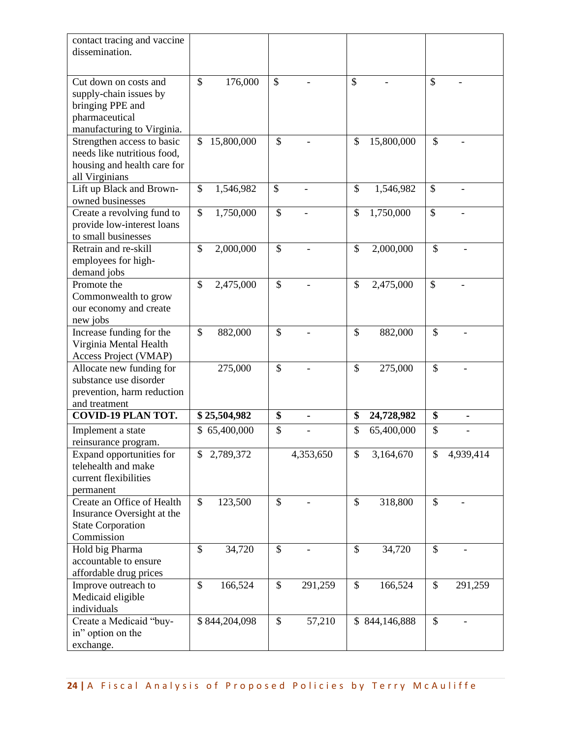| contact tracing and vaccine<br>dissemination.              |                  |                      |                         |                           |
|------------------------------------------------------------|------------------|----------------------|-------------------------|---------------------------|
|                                                            |                  |                      |                         |                           |
| Cut down on costs and<br>supply-chain issues by            | 176,000<br>\$    | $\mathbb{S}$         | \$                      | $\mathcal{S}$             |
| bringing PPE and<br>pharmaceutical                         |                  |                      |                         |                           |
| manufacturing to Virginia.<br>Strengthen access to basic   | \$<br>15,800,000 | \$                   | \$<br>15,800,000        | \$                        |
| needs like nutritious food,<br>housing and health care for |                  |                      |                         |                           |
| all Virginians                                             |                  |                      |                         |                           |
| Lift up Black and Brown-<br>owned businesses               | \$<br>1,546,982  | \$                   | \$<br>1,546,982         | $\boldsymbol{\mathsf{S}}$ |
| Create a revolving fund to                                 | \$<br>1,750,000  | \$                   | \$<br>1,750,000         | \$                        |
| provide low-interest loans                                 |                  |                      |                         |                           |
| to small businesses<br>Retrain and re-skill                | 2,000,000<br>\$  | \$                   | \$                      | \$                        |
| employees for high-                                        |                  |                      | 2,000,000               |                           |
| demand jobs                                                |                  |                      |                         |                           |
| Promote the                                                | \$<br>2,475,000  | \$                   | \$<br>2,475,000         | $\mathcal{S}$             |
| Commonwealth to grow                                       |                  |                      |                         |                           |
| our economy and create<br>new jobs                         |                  |                      |                         |                           |
| Increase funding for the                                   | \$<br>882,000    | \$                   | \$<br>882,000           | \$                        |
| Virginia Mental Health                                     |                  |                      |                         |                           |
| Access Project (VMAP)                                      |                  |                      |                         |                           |
| Allocate new funding for                                   | 275,000          | \$                   | $\mathbb{S}$<br>275,000 | \$                        |
| substance use disorder                                     |                  |                      |                         |                           |
| prevention, harm reduction                                 |                  |                      |                         |                           |
| and treatment<br><b>COVID-19 PLAN TOT.</b>                 | \$25,504,982     | \$<br>$\blacksquare$ | \$<br>24,728,982        | \$<br>$\blacksquare$      |
|                                                            | \$65,400,000     | \$                   | \$<br>65,400,000        | \$                        |
| Implement a state<br>reinsurance program.                  |                  |                      |                         |                           |
| Expand opportunities for                                   | 2,789,372        | 4,353,650            | \$<br>3,164,670         | \$<br>4,939,414           |
| telehealth and make                                        |                  |                      |                         |                           |
| current flexibilities                                      |                  |                      |                         |                           |
| permanent                                                  |                  |                      |                         |                           |
| Create an Office of Health                                 | \$<br>123,500    | \$                   | \$<br>318,800           | \$                        |
| Insurance Oversight at the<br><b>State Corporation</b>     |                  |                      |                         |                           |
| Commission                                                 |                  |                      |                         |                           |
| Hold big Pharma                                            | 34,720<br>\$     | \$                   | \$<br>34,720            | \$                        |
| accountable to ensure                                      |                  |                      |                         |                           |
| affordable drug prices                                     |                  |                      |                         |                           |
| Improve outreach to                                        | \$<br>166,524    | \$<br>291,259        | \$<br>166,524           | \$<br>291,259             |
| Medicaid eligible                                          |                  |                      |                         |                           |
| individuals                                                |                  |                      |                         |                           |
| Create a Medicaid "buy-                                    | \$844,204,098    | \$<br>57,210         | \$844,146,888           | \$                        |
| in" option on the<br>exchange.                             |                  |                      |                         |                           |
|                                                            |                  |                      |                         |                           |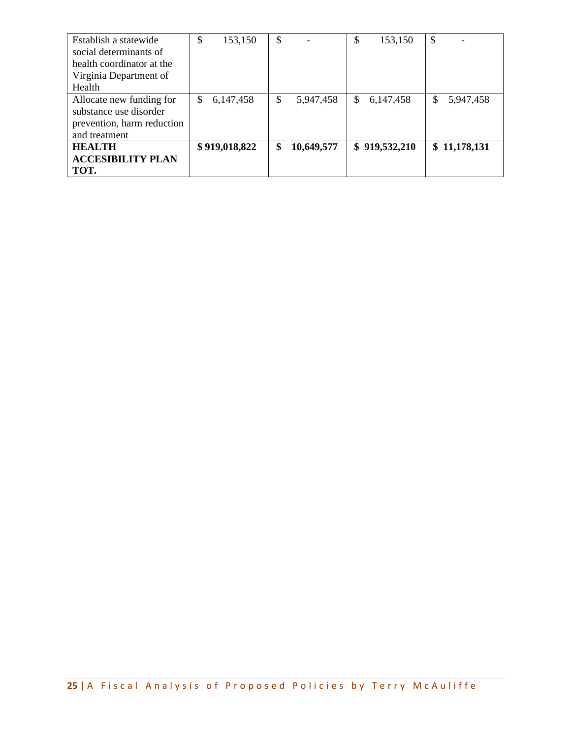| Establish a statewide      | \$            | 153,150       | \$               | \$  | 153,150       | $\boldsymbol{\mathsf{\$}}$ |              |
|----------------------------|---------------|---------------|------------------|-----|---------------|----------------------------|--------------|
| social determinants of     |               |               |                  |     |               |                            |              |
| health coordinator at the  |               |               |                  |     |               |                            |              |
| Virginia Department of     |               |               |                  |     |               |                            |              |
| Health                     |               |               |                  |     |               |                            |              |
| Allocate new funding for   | <sup>\$</sup> | 6,147,458     | \$<br>5,947,458  | \$. | 6,147,458     | \$                         | 5,947,458    |
| substance use disorder     |               |               |                  |     |               |                            |              |
| prevention, harm reduction |               |               |                  |     |               |                            |              |
| and treatment              |               |               |                  |     |               |                            |              |
| <b>HEALTH</b>              |               | \$919,018,822 | \$<br>10,649,577 |     | \$919,532,210 |                            | \$11,178,131 |
| <b>ACCESIBILITY PLAN</b>   |               |               |                  |     |               |                            |              |
| TOT.                       |               |               |                  |     |               |                            |              |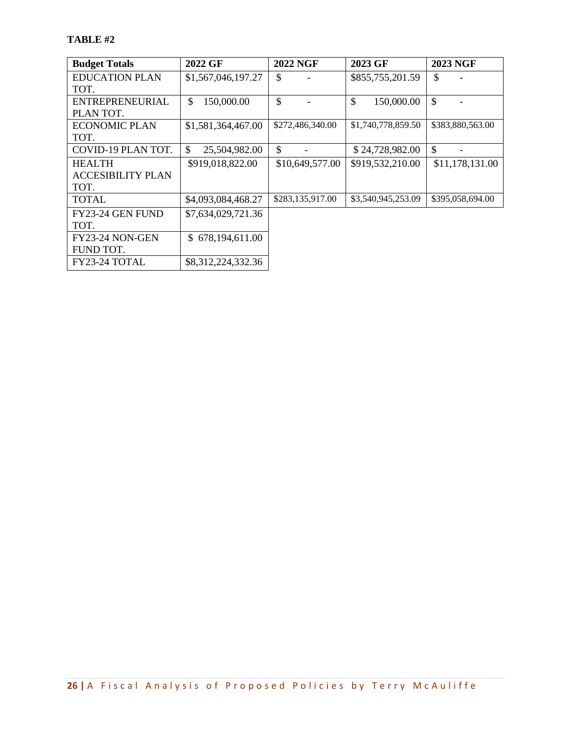| <b>Budget Totals</b>     | 2022 GF                        | <b>2022 NGF</b>  | 2023 GF            | <b>2023 NGF</b>  |
|--------------------------|--------------------------------|------------------|--------------------|------------------|
| <b>EDUCATION PLAN</b>    | \$1,567,046,197.27             | \$               | \$855,755,201.59   | \$               |
| TOT.                     |                                |                  |                    |                  |
| ENTREPRENEURIAL          | \$<br>150,000.00               | $\mathcal{S}$    | \$<br>150,000.00   | $\mathcal{S}$    |
| PLAN TOT.                |                                |                  |                    |                  |
| <b>ECONOMIC PLAN</b>     | \$1,581,364,467.00             | \$272,486,340.00 | \$1,740,778,859.50 | \$383,880,563.00 |
| TOT.                     |                                |                  |                    |                  |
| COVID-19 PLAN TOT.       | $\mathcal{S}$<br>25,504,982.00 | \$               | \$24,728,982.00    | $\mathcal{S}$    |
| <b>HEALTH</b>            | \$919,018,822.00               | \$10,649,577.00  | \$919,532,210.00   | \$11,178,131.00  |
| <b>ACCESIBILITY PLAN</b> |                                |                  |                    |                  |
| TOT.                     |                                |                  |                    |                  |
| <b>TOTAL</b>             | \$4,093,084,468.27             | \$283,135,917.00 | \$3,540,945,253.09 | \$395,058,694.00 |
| FY23-24 GEN FUND         | \$7,634,029,721.36             |                  |                    |                  |
| TOT.                     |                                |                  |                    |                  |
| FY23-24 NON-GEN          | 678,194,611.00<br>\$.          |                  |                    |                  |
| FUND TOT.                |                                |                  |                    |                  |
| FY23-24 TOTAL            | \$8,312,224,332.36             |                  |                    |                  |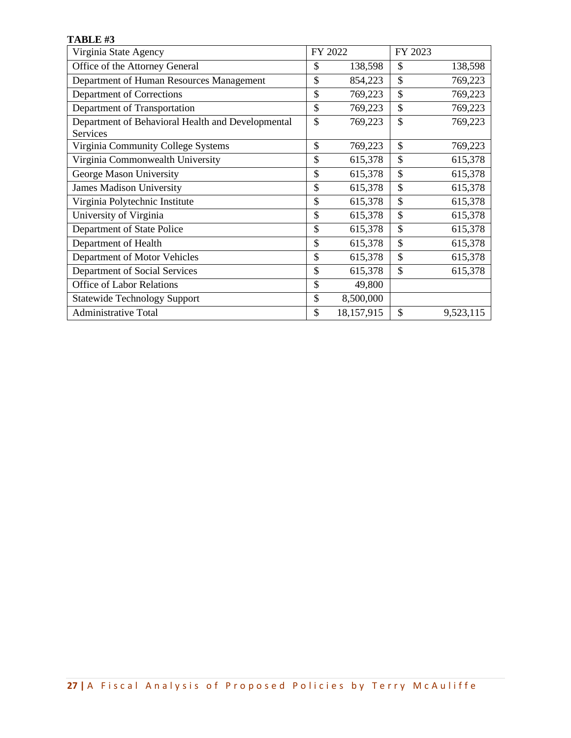| TABLE #3                                                      |              |            |         |           |
|---------------------------------------------------------------|--------------|------------|---------|-----------|
| Virginia State Agency                                         |              | FY 2022    | FY 2023 |           |
| Office of the Attorney General                                | \$           | 138,598    | \$      | 138,598   |
| Department of Human Resources Management                      | \$           | 854,223    | \$      | 769,223   |
| Department of Corrections                                     | \$           | 769,223    | \$      | 769,223   |
| Department of Transportation                                  | \$           | 769,223    | \$      | 769,223   |
| Department of Behavioral Health and Developmental<br>Services | \$           | 769,223    | \$      | 769,223   |
| Virginia Community College Systems                            | \$           | 769,223    | \$      | 769,223   |
| Virginia Commonwealth University                              | \$           | 615,378    | \$      | 615,378   |
| George Mason University                                       | $\mathbb{S}$ | 615,378    | \$      | 615,378   |
| <b>James Madison University</b>                               | \$           | 615,378    | \$      | 615,378   |
| Virginia Polytechnic Institute                                | \$           | 615,378    | \$      | 615,378   |
| University of Virginia                                        | \$           | 615,378    | \$      | 615,378   |
| Department of State Police                                    | \$           | 615,378    | \$      | 615,378   |
| Department of Health                                          | \$           | 615,378    | \$      | 615,378   |
| Department of Motor Vehicles                                  | \$           | 615,378    | \$      | 615,378   |
| Department of Social Services                                 | \$           | 615,378    | \$      | 615,378   |
| <b>Office of Labor Relations</b>                              | \$           | 49,800     |         |           |
| <b>Statewide Technology Support</b>                           | \$           | 8,500,000  |         |           |
| <b>Administrative Total</b>                                   | \$           | 18,157,915 | \$      | 9,523,115 |